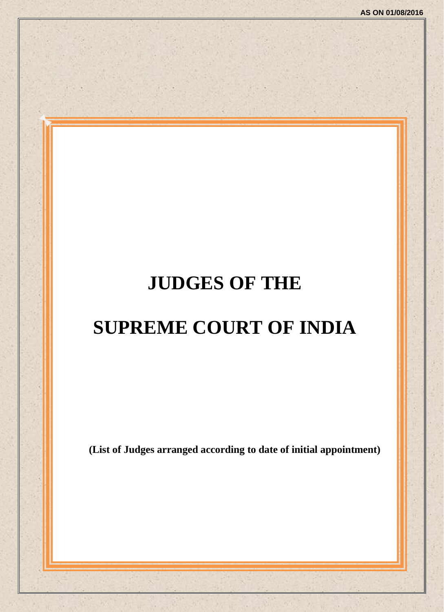# **JUDGES OF THE**

# **SUPREME COURT OF INDIA**

**(List of Judges arranged according to date of initial appointment)**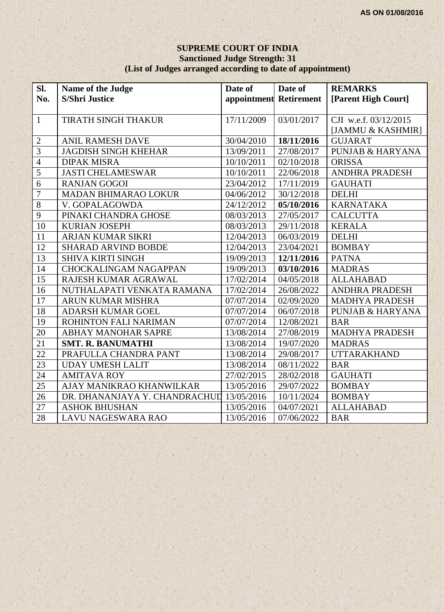#### **SUPREME COURT OF INDIA Sanctioned Judge Strength: 31 (List of Judges arranged according to date of appointment)**

| Sl.             | Name of the Judge             | Date of                | Date of    | <b>REMARKS</b>              |
|-----------------|-------------------------------|------------------------|------------|-----------------------------|
| No.             | <b>S/Shri Justice</b>         | appointment Retirement |            | [Parent High Court]         |
|                 |                               |                        |            |                             |
| $\mathbf{1}$    | TIRATH SINGH THAKUR           | 17/11/2009             | 03/01/2017 | CJI w.e.f. 03/12/2015       |
|                 |                               |                        |            | [JAMMU & KASHMIR]           |
| $\overline{2}$  | <b>ANIL RAMESH DAVE</b>       | 30/04/2010             | 18/11/2016 | <b>GUJARAT</b>              |
| $\overline{3}$  | <b>JAGDISH SINGH KHEHAR</b>   | 13/09/2011             | 27/08/2017 | <b>PUNJAB &amp; HARYANA</b> |
| $\overline{4}$  | <b>DIPAK MISRA</b>            | 10/10/2011             | 02/10/2018 | <b>ORISSA</b>               |
| $\overline{5}$  | <b>JASTI CHELAMESWAR</b>      | 10/10/2011             | 22/06/2018 | <b>ANDHRA PRADESH</b>       |
| $\overline{6}$  | <b>RANJAN GOGOI</b>           | 23/04/2012             | 17/11/2019 | <b>GAUHATI</b>              |
| $\overline{7}$  | MADAN BHIMARAO LOKUR          | 04/06/2012             | 30/12/2018 | <b>DELHI</b>                |
| $\overline{8}$  | V. GOPALAGOWDA                | 24/12/2012             | 05/10/2016 | <b>KARNATAKA</b>            |
| $\overline{9}$  | PINAKI CHANDRA GHOSE          | 08/03/2013             | 27/05/2017 | <b>CALCUTTA</b>             |
| $\overline{10}$ | <b>KURIAN JOSEPH</b>          | 08/03/2013             | 29/11/2018 | <b>KERALA</b>               |
| 11              | <b>ARJAN KUMAR SIKRI</b>      | 12/04/2013             | 06/03/2019 | <b>DELHI</b>                |
| 12              | <b>SHARAD ARVIND BOBDE</b>    | 12/04/2013             | 23/04/2021 | <b>BOMBAY</b>               |
| 13              | <b>SHIVA KIRTI SINGH</b>      | 19/09/2013             | 12/11/2016 | <b>PATNA</b>                |
| 14              | <b>CHOCKALINGAM NAGAPPAN</b>  | 19/09/2013             | 03/10/2016 | <b>MADRAS</b>               |
| 15              | RAJESH KUMAR AGRAWAL          | 17/02/2014             | 04/05/2018 | <b>ALLAHABAD</b>            |
| 16              | NUTHALAPATI VENKATA RAMANA    | 17/02/2014             | 26/08/2022 | ANDHRA PRADESH              |
| 17              | <b>ARUN KUMAR MISHRA</b>      | 07/07/2014             | 02/09/2020 | <b>MADHYA PRADESH</b>       |
| 18              | ADARSH KUMAR GOEL             | 07/07/2014             | 06/07/2018 | <b>PUNJAB &amp; HARYANA</b> |
| 19              | ROHINTON FALI NARIMAN         | 07/07/2014             | 12/08/2021 | <b>BAR</b>                  |
| 20              | ABHAY MANOHAR SAPRE           | 13/08/2014             | 27/08/2019 | <b>MADHYA PRADESH</b>       |
| 21              | <b>SMT. R. BANUMATHI</b>      | 13/08/2014             | 19/07/2020 | <b>MADRAS</b>               |
| $\overline{22}$ | PRAFULLA CHANDRA PANT         | 13/08/2014             | 29/08/2017 | <b>UTTARAKHAND</b>          |
| $\overline{23}$ | <b>UDAY UMESH LALIT</b>       | 13/08/2014             | 08/11/2022 | <b>BAR</b>                  |
| $\overline{24}$ | <b>AMITAVA ROY</b>            | 27/02/2015             | 28/02/2018 | <b>GAUHATI</b>              |
| 25              | AJAY MANIKRAO KHANWILKAR      | 13/05/2016             | 29/07/2022 | <b>BOMBAY</b>               |
| 26              | DR. DHANANJAYA Y. CHANDRACHUD | 13/05/2016             | 10/11/2024 | <b>BOMBAY</b>               |
| 27              | <b>ASHOK BHUSHAN</b>          | 13/05/2016             | 04/07/2021 | <b>ALLAHABAD</b>            |
| 28              | <b>LAVU NAGESWARA RAO</b>     | 13/05/2016             | 07/06/2022 | <b>BAR</b>                  |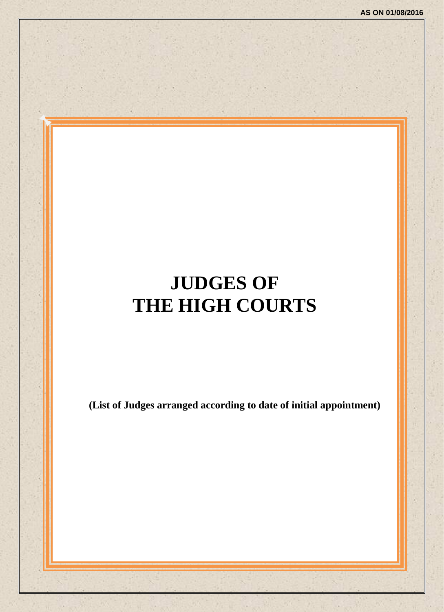# **JUDGES OF THE HIGH COURTS**

**(List of Judges arranged according to date of initial appointment)**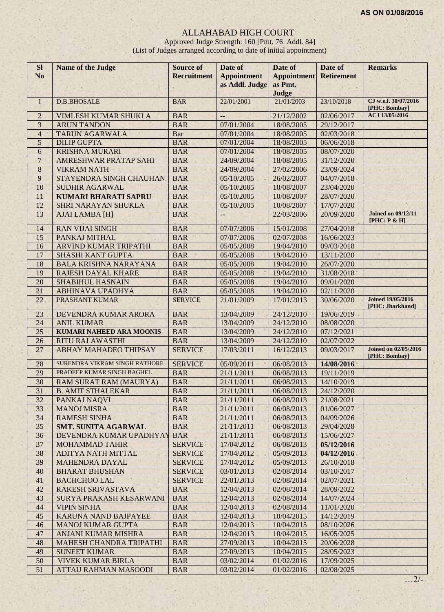## ALLAHABAD HIGH COURT

Approved Judge Strength: 160 [Pmt. 76 Addl. 84] (List of Judges arranged according to date of initial appointment)

| <b>SI</b><br>N <sub>o</sub> | <b>Name of the Judge</b>                                      | <b>Source of</b><br><b>Recruitment</b> | Date of                              | Date of                       | Date of<br><b>Retirement</b> | <b>Remarks</b>                               |
|-----------------------------|---------------------------------------------------------------|----------------------------------------|--------------------------------------|-------------------------------|------------------------------|----------------------------------------------|
|                             |                                                               |                                        | <b>Appointment</b><br>as Addl. Judge | <b>Appointment</b><br>as Pmt. |                              |                                              |
|                             |                                                               |                                        |                                      | Judge                         |                              |                                              |
| $\mathbf{1}$                | <b>D.B.BHOSALE</b>                                            | <b>BAR</b>                             | 22/01/2001                           | 21/01/2003                    | 23/10/2018                   | CJ w.e.f. 30/07/2016<br>[PHC: Bombay]        |
| $\overline{2}$              | <b>VIMLESH KUMAR SHUKLA</b>                                   | <b>BAR</b>                             | ÷,                                   | 21/12/2002                    | 02/06/2017                   | ACJ 13/05/2016                               |
| $\overline{3}$              | <b>ARUN TANDON</b>                                            | <b>BAR</b>                             | 07/01/2004                           | 18/08/2005                    | 29/12/2017                   |                                              |
| $\overline{4}$              | <b>TARUN AGARWALA</b>                                         | <b>Bar</b>                             | 07/01/2004                           | 18/08/2005                    | 02/03/2018                   |                                              |
| 5                           | <b>DILIP GUPTA</b>                                            | <b>BAR</b>                             | 07/01/2004                           | 18/08/2005                    | 06/06/2018                   |                                              |
| $\overline{6}$              | <b>KRISHNA MURARI</b>                                         | <b>BAR</b>                             | 07/01/2004                           | 18/08/2005                    | 08/07/2020                   |                                              |
| $\overline{7}$              | AMRESHWAR PRATAP SAHI                                         | <b>BAR</b>                             | 24/09/2004                           | 18/08/2005                    | 31/12/2020                   |                                              |
| $\overline{8}$              | <b>VIKRAM NATH</b>                                            | <b>BAR</b>                             | 24/09/2004                           | 27/02/2006                    | 23/09/2024                   |                                              |
| 9                           | STAYENDRA SINGH CHAUHAN                                       | <b>BAR</b>                             | 05/10/2005                           | 26/02/2007                    | 04/07/2018                   |                                              |
| 10                          | <b>SUDHIR AGARWAL</b>                                         | <b>BAR</b>                             | 05/10/2005                           | 10/08/2007                    | 23/04/2020                   |                                              |
| 11                          | <b>KUMARI BHARATI SAPRU</b>                                   | <b>BAR</b>                             | 05/10/2005                           | 10/08/2007                    | 28/07/2020                   |                                              |
| 12                          | <b>SHRI NARAYAN SHUKLA</b>                                    | <b>BAR</b>                             | 05/10/2005                           | 10/08/2007                    | 17/07/2020                   |                                              |
| 13                          | <b>AJAI LAMBA [H]</b>                                         | <b>BAR</b>                             | $--$                                 | 22/03/2006                    | 20/09/2020                   | <b>Joined on 09/12/11</b><br>[PHC: P & H]    |
| 14                          | <b>RAN VIJAI SINGH</b>                                        | <b>BAR</b>                             | 07/07/2006                           | 15/01/2008                    | 27/04/2018                   |                                              |
| 15                          | PANKAJ MITHAL                                                 | <b>BAR</b>                             | 07/07/2006                           | 02/07/2008                    | 16/06/2023                   |                                              |
| 16                          | ARVIND KUMAR TRIPATHI                                         | <b>BAR</b>                             | 05/05/2008                           | 19/04/2010                    | 09/03/2018                   |                                              |
| 17                          | SHASHI KANT GUPTA                                             | <b>BAR</b>                             | 05/05/2008                           | 19/04/2010                    | 13/11/2020                   |                                              |
| 18                          | <b>BALA KRISHNA NARAYANA</b>                                  | <b>BAR</b>                             | 05/05/2008                           | 19/04/2010                    | 26/07/2020                   |                                              |
| 19                          | <b>RAJESH DAYAL KHARE</b>                                     | <b>BAR</b>                             | 05/05/2008                           | 19/04/2010                    | 31/08/2018                   |                                              |
| 20                          | <b>SHABIHUL HASNAIN</b>                                       | <b>BAR</b>                             | 05/05/2008                           | 19/04/2010                    | 09/01/2020                   |                                              |
| 21                          | <b>ABHINAVA UPADHYA</b>                                       | <b>BAR</b>                             | 05/05/2008                           | 19/04/2010                    | 02/11/2020                   |                                              |
| 22                          | PRASHANT KUMAR                                                | <b>SERVICE</b>                         | 21/01/2009                           | 17/01/2013                    | 30/06/2020                   | <b>Joined 19/05/2016</b><br>[PHC: Jharkhand] |
| 23                          | DEVENDRA KUMAR ARORA                                          | <b>BAR</b>                             | 13/04/2009                           | 24/12/2010                    | 19/06/2019                   |                                              |
| 24                          | <b>ANIL KUMAR</b>                                             | <b>BAR</b>                             | 13/04/2009                           | 24/12/2010                    | 08/08/2020                   |                                              |
| 25                          | <b>KUMARI NAHEED ARA MOONIS</b>                               | <b>BAR</b>                             | 13/04/2009                           | 24/12/2010                    | 07/12/2021                   |                                              |
| 26                          | <b>RITU RAJ AWASTHI</b>                                       | <b>BAR</b>                             | 13/04/2009                           | 24/12/2010                    | 02/07/2022                   | <b>Joined on 02/05/2016</b>                  |
| 27                          | <b>ABHAY MAHADEO THIPSAY</b><br>SURENDRA VIKRAM SINGH RATHORE | <b>SERVICE</b>                         | 17/03/2011                           | 16/12/2013                    | 09/03/2017                   | [PHC: Bombay]                                |
| 28                          | PRADEEP KUMAR SINGH BAGHEL                                    | <b>SERVICE</b>                         | 05/09/2011                           | 06/08/2013                    | 14/08/2016                   |                                              |
| 29                          |                                                               | <b>BAR</b>                             | 21/11/2011                           | 06/08/2013                    | 19/11/2019                   |                                              |
| 30<br>31                    | RAM SURAT RAM (MAURYA)<br><b>B. AMIT STHALEKAR</b>            | <b>BAR</b>                             | 21/11/2011<br>21/11/2011             | 06/08/2013                    | 14/10/2019                   |                                              |
| 32                          |                                                               | <b>BAR</b><br><b>BAR</b>               | 21/11/2011                           | 06/08/2013                    | 24/12/2020<br>21/08/2021     |                                              |
| 33                          | PANKAJ NAQVI<br><b>MANOJ MISRA</b>                            | <b>BAR</b>                             | 21/11/2011                           | 06/08/2013<br>06/08/2013      | 01/06/2027                   |                                              |
| 34                          | <b>RAMESH SINHA</b>                                           | <b>BAR</b>                             | 21/11/2011                           | 06/08/2013                    | 04/09/2026                   |                                              |
| 35                          | <b>SMT. SUNITA AGARWAL</b>                                    | <b>BAR</b>                             | 21/11/2011                           | 06/08/2013                    | 29/04/2028                   |                                              |
| 36                          | DEVENDRA KUMAR UPADHYAY                                       | <b>BAR</b>                             | 21/11/2011                           | 06/08/2013                    | 15/06/2027                   |                                              |
| 37                          | <b>MOHAMMAD TAHIR</b>                                         | <b>SERVICE</b>                         | 17/04/2012                           | 06/08/2013                    | 05/12/2016                   |                                              |
| 38                          | ADITYA NATH MITTAL                                            | <b>SERVICE</b>                         | 17/04/2012                           | 05/09/2013                    | 04/12/2016                   |                                              |
| 39                          | MAHENDRA DAYAL                                                | <b>SERVICE</b>                         | 17/04/2012                           | 05/09/2013                    | 26/10/2018                   |                                              |
| 40                          | <b>BHARAT BHUSHAN</b>                                         | <b>SERVICE</b>                         | 03/01/2013                           | 02/08/2014                    | 03/10/2017                   |                                              |
| 41                          | <b>BACHCHOO LAL</b>                                           | <b>SERVICE</b>                         | 22/01/2013                           | 02/08/2014                    | 02/07/2021                   |                                              |
| 42                          | <b>RAKESH SRIVASTAVA</b>                                      | <b>BAR</b>                             | 12/04/2013                           | 02/08/2014                    | 28/09/2022                   |                                              |
| 43                          | SURYA PRAKASH KESARWANI                                       | <b>BAR</b>                             | 12/04/2013                           | 02/08/2014                    | 14/07/2024                   |                                              |
| 44                          | <b>VIPIN SINHA</b>                                            | <b>BAR</b>                             | 12/04/2013                           | 02/08/2014                    | 11/01/2020                   |                                              |
| 45                          | KARUNA NAND BAJPAYEE                                          | <b>BAR</b>                             | 12/04/2013                           | 10/04/2015                    | 14/12/2019                   |                                              |
| 46                          | <b>MANOJ KUMAR GUPTA</b>                                      | <b>BAR</b>                             | 12/04/2013                           | 10/04/2015                    | 08/10/2026                   |                                              |
| 47                          | ANJANI KUMAR MISHRA                                           | <b>BAR</b>                             | 12/04/2013                           | 10/04/2015                    | 16/05/2025                   |                                              |
| 48                          | <b>MAHESH CHANDRA TRIPATHI</b>                                | <b>BAR</b>                             | 27/09/2013                           | 10/04/2015                    | 20/06/2028                   |                                              |
| 49                          | <b>SUNEET KUMAR</b>                                           | <b>BAR</b>                             | 27/09/2013                           | 10/04/2015                    | 28/05/2023                   |                                              |
| 50                          | <b>VIVEK KUMAR BIRLA</b>                                      | <b>BAR</b>                             | 03/02/2014                           | 01/02/2016                    | 17/09/2025                   |                                              |
| 51                          | <b>ATTAU RAHMAN MASOODI</b>                                   | <b>BAR</b>                             | 03/02/2014                           | 01/02/2016                    | 02/08/2025                   |                                              |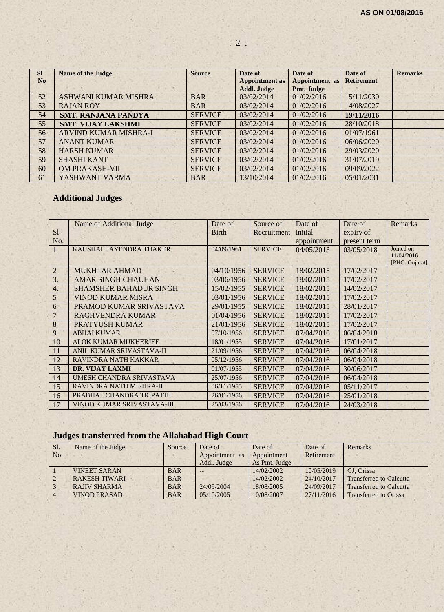| <b>SI</b>       | <b>Name of the Judge</b>     | <b>Source</b>  | Date of               | Date of               | Date of           | <b>Remarks</b> |
|-----------------|------------------------------|----------------|-----------------------|-----------------------|-------------------|----------------|
| N <sub>o</sub>  |                              |                | <b>Appointment as</b> | <b>Appointment</b> as | <b>Retirement</b> |                |
|                 |                              |                | <b>Addl. Judge</b>    | Pmt. Judge            |                   |                |
| 52              | <b>ASHWANI KUMAR MISHRA</b>  | <b>BAR</b>     | 03/02/2014            | 01/02/2016            | 15/11/2030        |                |
| 53              | <b>RAJAN ROY</b>             | <b>BAR</b>     | 03/02/2014            | 01/02/2016            | 14/08/2027        |                |
| 54              | <b>SMT. RANJANA PANDYA</b>   | <b>SERVICE</b> | 03/02/2014            | 01/02/2016            | 19/11/2016        |                |
| 55              | <b>SMT. VIJAY LAKSHMI</b>    | <b>SERVICE</b> | 03/02/2014            | 01/02/2016            | 28/10/2018        |                |
| 56 <sub>1</sub> | <b>ARVIND KUMAR MISHRA-I</b> | <b>SERVICE</b> | 03/02/2014            | 01/02/2016            | 01/07/1961        |                |
| 57              | <b>ANANT KUMAR</b>           | <b>SERVICE</b> | 03/02/2014            | 01/02/2016            | 06/06/2020        |                |
| 58              | <b>HARSH KUMAR</b>           | <b>SERVICE</b> | 03/02/2014            | 01/02/2016            | 29/03/2020        |                |
| 59              | <b>SHASHI KANT</b>           | <b>SERVICE</b> | 03/02/2014            | 01/02/2016            | 31/07/2019        |                |
| 60              | <b>OM PRAKASH-VII</b>        | <b>SERVICE</b> | 03/02/2014            | 01/02/2016            | 09/09/2022        |                |
| 61              | YASHWANT VARMA               | <b>BAR</b>     | 13/10/2014            | 01/02/2016            | 05/01/2031        |                |

# **Additional Judges**

|                  | Name of Additional Judge          | Date of      | Source of      | Date of     | Date of      | <b>Remarks</b>               |
|------------------|-----------------------------------|--------------|----------------|-------------|--------------|------------------------------|
| S1.              |                                   | <b>Birth</b> | Recruitment    | initial     | expiry of    |                              |
| No.              |                                   |              |                | appointment | present term |                              |
| $\mathbf{1}$     | KAUSHAL JAYENDRA THAKER           | 04/09/1961   | <b>SERVICE</b> | 04/05/2013  | 03/05/2018   | Joined on                    |
|                  |                                   |              |                |             |              | 11/04/2016<br>[PHC: Gujarat] |
| $\overline{2}$   | <b>MUKHTAR AHMAD</b>              | 04/10/1956   | <b>SERVICE</b> | 18/02/2015  | 17/02/2017   |                              |
| 3.               | <b>AMAR SINGH CHAUHAN</b>         | 03/06/1956   | <b>SERVICE</b> | 18/02/2015  | 17/02/2017   |                              |
| $\overline{4}$ . | <b>SHAMSHER BAHADUR SINGH</b>     | 15/02/1955   | <b>SERVICE</b> | 18/02/2015  | 14/02/2017   |                              |
| 5                | <b>VINOD KUMAR MISRA</b>          | 03/01/1956   | <b>SERVICE</b> | 18/02/2015  | 17/02/2017   |                              |
| 6                | PRAMOD KUMAR SRIVASTAVA           | 29/01/1955   | <b>SERVICE</b> | 18/02/2015  | 28/01/2017   |                              |
|                  | <b>RAGHVENDRA KUMAR</b>           | 01/04/1956   | <b>SERVICE</b> | 18/02/2015  | 17/02/2017   |                              |
| 8                | <b>PRATYUSH KUMAR</b>             | 21/01/1956   | <b>SERVICE</b> | 18/02/2015  | 17/02/2017   |                              |
| 9                | <b>ABHAI KUMAR</b>                | 07/10/1956   | <b>SERVICE</b> | 07/04/2016  | 06/04/2018   |                              |
| 10               | <b>ALOK KUMAR MUKHERJEE</b>       | 18/01/1955   | <b>SERVICE</b> | 07/04/2016  | 17/01/2017   |                              |
| 11               | ANIL KUMAR SRIVASTAVA-II          | 21/09/1956   | <b>SERVICE</b> | 07/04/2016  | 06/04/2018   |                              |
| 12               | RAVINDRA NATH KAKKAR              | 05/12/1956   | <b>SERVICE</b> | 07/04/2016  | 06/04/2018   |                              |
| 13               | <b>DR. VIJAY LAXMI</b>            | 01/07/1955   | <b>SERVICE</b> | 07/04/2016  | 30/06/2017   |                              |
| 14               | UMESH CHANDRA SRIVASTAVA          | 25/07/1956   | <b>SERVICE</b> | 07/04/2016  | 06/04/2018   |                              |
| 15               | RAVINDRA NATH MISHRA-II           | 06/11/1955   | <b>SERVICE</b> | 07/04/2016  | 05/11/2017   |                              |
| 16               | PRABHAT CHANDRA TRIPATHI          | 26/01/1956   | <b>SERVICE</b> | 07/04/2016  | 25/01/2018   |                              |
| 17               | <b>VINOD KUMAR SRIVASTAVA-III</b> | 25/03/1956   | <b>SERVICE</b> | 07/04/2016  | 24/03/2018   |                              |

# **Judges transferred from the Allahabad High Court**

| Sl. | Name of the Judge    | Source     | Date of        | Date of       | Date of    | Remarks                        |
|-----|----------------------|------------|----------------|---------------|------------|--------------------------------|
| No. |                      |            | Appointment as | Appointment   | Retirement |                                |
|     |                      |            | Addl. Judge    | As Pmt. Judge |            |                                |
|     | <b>VINEET SARAN</b>  | <b>BAR</b> | --             | 14/02/2002    | 10/05/2019 | CJ. Orissa                     |
|     | <b>RAKESH TIWARI</b> | <b>BAR</b> | --             | 14/02/2002    | 24/10/2017 | <b>Transferred to Calcutta</b> |
|     | <b>RAJIV SHARMA</b>  | <b>BAR</b> | 24/09/2004     | 18/08/2005    | 24/09/2017 | <b>Transferred to Calcutta</b> |
|     | <b>VINOD PRASAD</b>  | <b>BAR</b> | 05/10/2005     | 10/08/2007    | 27/11/2016 | <b>Transferred to Orissa</b>   |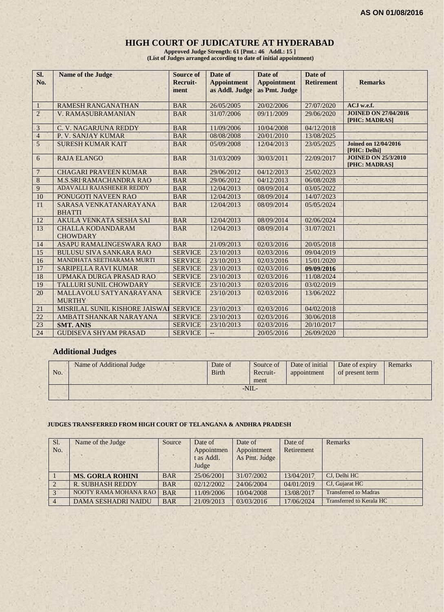## **HIGH COURT OF JUDICATURE AT HYDERABAD**

**Approved Judge Strength: 61 [Pmt.: 46 Addl.: 15 ] (List of Judges arranged according to date of initial appointment)**

| SI.<br>No.     | <b>Name of the Judge</b>                    | <b>Source of</b><br>Recruit-<br>ment | Date of<br><b>Appointment</b><br>as Addl. Judge | Date of<br><b>Appointment</b><br>as Pmt. Judge | Date of<br><b>Retirement</b> | <b>Remarks</b>                               |
|----------------|---------------------------------------------|--------------------------------------|-------------------------------------------------|------------------------------------------------|------------------------------|----------------------------------------------|
| 1              | <b>RAMESH RANGANATHAN</b>                   | <b>BAR</b>                           | 26/05/2005                                      | 20/02/2006                                     | 27/07/2020                   | ACJ w.e.f.                                   |
| $\overline{2}$ | <b>V. RAMASUBRAMANIAN</b>                   | <b>BAR</b>                           | 31/07/2006                                      | 09/11/2009                                     | 29/06/2020                   | <b>JOINED ON 27/04/2016</b><br>[PHC: MADRAS] |
| $\mathfrak{Z}$ | C. V. NAGARJUNA REDDY                       | <b>BAR</b>                           | 11/09/2006                                      | 10/04/2008                                     | 04/12/2018                   |                                              |
| $\overline{4}$ | P. V. SANJAY KUMAR                          | <b>BAR</b>                           | 08/08/2008                                      | 20/01/2010                                     | 13/08/2025                   |                                              |
| $\overline{5}$ | <b>SURESH KUMAR KAIT</b>                    | <b>BAR</b>                           | 05/09/2008                                      | 12/04/2013                                     | 23/05/2025                   | <b>Joined on 12/04/2016</b><br>[PHC: Delhi]  |
| 6              | <b>RAJA ELANGO</b>                          | <b>BAR</b>                           | 31/03/2009                                      | 30/03/2011                                     | 22/09/2017                   | <b>JOINED ON 25/3/2010</b><br>[PHC: MADRAS]  |
| $\overline{7}$ | <b>CHAGARI PRAVEEN KUMAR</b>                | <b>BAR</b>                           | 29/06/2012                                      | 04/12/2013                                     | 25/02/2023                   |                                              |
| $\,8\,$        | <b>M.S.SRI RAMACHANDRA RAO</b>              | <b>BAR</b>                           | 29/06/2012                                      | 04/12/2013                                     | 06/08/2028                   |                                              |
| 9              | ADAVALLI RAJASHEKER REDDY                   | <b>BAR</b>                           | 12/04/2013                                      | 08/09/2014                                     | 03/05/2022                   |                                              |
| 10             | PONUGOTI NAVEEN RAO                         | <b>BAR</b>                           | 12/04/2013                                      | 08/09/2014                                     | 14/07/2023                   |                                              |
| 11             | SARASA VENKATANARAYANA<br><b>BHATTI</b>     | <b>BAR</b>                           | 12/04/2013                                      | 08/09/2014                                     | 05/05/2024                   |                                              |
| 12             | AKULA VENKATA SESHA SAI                     | <b>BAR</b>                           | 12/04/2013                                      | 08/09/2014                                     | 02/06/2024                   |                                              |
| 13             | <b>CHALLA KODANDARAM</b><br><b>CHOWDARY</b> | <b>BAR</b>                           | 12/04/2013                                      | 08/09/2014                                     | 31/07/2021                   |                                              |
| 14             | ASAPU RAMALINGESWARA RAO                    | <b>BAR</b>                           | 21/09/2013                                      | 02/03/2016                                     | 20/05/2018                   |                                              |
| 15             | <b>BULUSU SIVA SANKARA RAO</b>              | <b>SERVICE</b>                       | 23/10/2013                                      | 02/03/2016                                     | 09/04/2019                   |                                              |
| 16             | MANDHATA SEETHARAMA MURTI                   | <b>SERVICE</b>                       | 23/10/2013                                      | 02/03/2016                                     | 15/01/2020                   |                                              |
| 17             | <b>SARIPELLA RAVI KUMAR</b>                 | <b>SERVICE</b>                       | 23/10/2013                                      | 02/03/2016                                     | 09/09/2016                   |                                              |
| 18             | UPMAKA DURGA PRASAD RAO                     | <b>SERVICE</b>                       | 23/10/2013                                      | 02/03/2016                                     | 11/08/2024                   |                                              |
| 19             | <b>TALLURI SUNIL CHOWDARY</b>               | <b>SERVICE</b>                       | 23/10/2013                                      | 02/03/2016                                     | 03/02/2019                   |                                              |
| 20             | MALLAVOLU SATYANARAYANA<br><b>MURTHY</b>    | <b>SERVICE</b>                       | 23/10/2013                                      | 02/03/2016                                     | 13/06/2022                   |                                              |
| 21             | MISRILAL SUNIL KISHORE JAISWAI              | <b>SERVICE</b>                       | 23/10/2013                                      | 02/03/2016                                     | 04/02/2018                   |                                              |
| 22             | AMBATI SHANKAR NARAYANA                     | <b>SERVICE</b>                       | 23/10/2013                                      | 02/03/2016                                     | 30/06/2018                   |                                              |
| 23             | <b>SMT. ANIS</b>                            | <b>SERVICE</b>                       | 23/10/2013                                      | 02/03/2016                                     | 20/10/2017                   |                                              |
| 24             | <b>GUDISEVA SHYAM PRASAD</b>                | <b>SERVICE</b>                       | $\overline{\phantom{a}}$                        | 20/05/2016                                     | 26/09/2020                   |                                              |

## **Additional Judges**

| No. | Name of Additional Judge | Date of<br><b>Birth</b> | Source of<br>Recruit-<br>ment | Date of initial<br>appointment | Date of expiry<br>of present term | Remarks |
|-----|--------------------------|-------------------------|-------------------------------|--------------------------------|-----------------------------------|---------|
|     |                          |                         | $-NIL$                        |                                |                                   |         |
|     |                          |                         |                               |                                |                                   |         |

#### **JUDGES TRANSFERRED FROM HIGH COURT OF TELANGANA & ANDHRA PRADESH**

| Sl.<br>No. | Name of the Judge          | Source     | Date of<br>Appointmen<br>t as Addl.<br>Judge | Date of<br>Appointment<br>As Pmt. Judge | Date of<br>Retirement | Remarks                      |
|------------|----------------------------|------------|----------------------------------------------|-----------------------------------------|-----------------------|------------------------------|
|            | <b>MS. GORLA ROHINI</b>    | <b>BAR</b> | 25/06/2001                                   | 31/07/2002                              | 13/04/2017            | CJ, Delhi HC                 |
|            | <b>R. SUBHASH REDDY</b>    | <b>BAR</b> | 02/12/2002                                   | 24/06/2004                              | 04/01/2019            | CJ, Gujarat HC               |
|            | NOOTY RAMA MOHANA RAO      | <b>BAR</b> | 11/09/2006                                   | 10/04/2008                              | 13/08/2017            | <b>Transferred to Madras</b> |
|            | <b>DAMA SESHADRI NAIDU</b> | <b>BAR</b> | 21/09/2013                                   | 03/03/2016                              | 17/06/2024            | Transferred to Kerala HC     |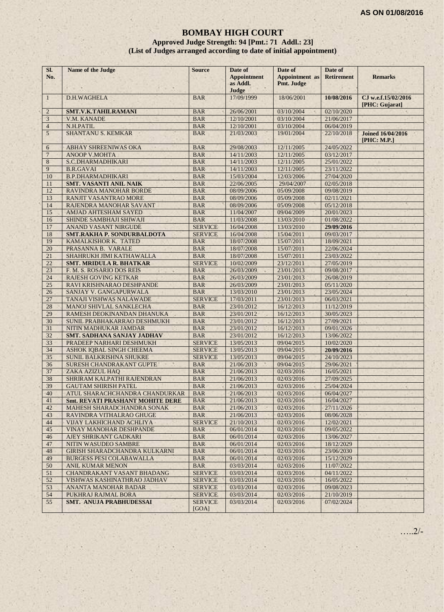## **BOMBAY HIGH COURT**

**Approved Judge Strength: 94 [Pmt.: 71 Addl.: 23] (List of Judges arranged according to date of initial appointment)**

| Sl.<br>No.     | <b>Name of the Judge</b>                                      | <b>Source</b>            | Date of<br><b>Appointment</b><br>as Addl.<br>Judge | Date of<br><b>Appointment</b> as<br>Pmt. Judge | Date of<br><b>Retirement</b> | <b>Remarks</b>                          |
|----------------|---------------------------------------------------------------|--------------------------|----------------------------------------------------|------------------------------------------------|------------------------------|-----------------------------------------|
| $\mathbf{1}$   | D.H.WAGHELA                                                   | <b>BAR</b>               | 17/09/1999                                         | 18/06/2001                                     | 10/08/2016                   | CJ w.e.f.15/02/2016<br>[PHC: Gujarat]   |
| $\overline{2}$ | SMT.V.K.TAHILRAMANI                                           | <b>BAR</b>               | 26/06/2001                                         | 03/10/2004                                     | 02/10/2020                   |                                         |
| 3              | V.M. KANADE                                                   | <b>BAR</b>               | 12/10/2001                                         | 03/10/2004                                     | 21/06/2017                   |                                         |
| $\overline{4}$ | N.H.PATIL                                                     | <b>BAR</b>               | 12/10/2001                                         | 03/10/2004                                     | 06/04/2019                   |                                         |
| 5              | <b>SHANTANU S. KEMKAR</b>                                     | <b>BAR</b>               | 21/03/2003                                         | 19/01/2004                                     | 22/10/2018                   | <b>Joined 16/04/2016</b><br>[PHC: M.P.] |
| 6              | ABHAY SHREENIWAS OKA                                          | <b>BAR</b>               | 29/08/2003                                         | 12/11/2005                                     | 24/05/2022                   |                                         |
| $\overline{7}$ | <b>ANOOP V.MOHTA</b>                                          | <b>BAR</b>               | 14/11/2003                                         | 12/11/2005                                     | 03/12/2017                   |                                         |
| 8              | S.C.DHARMADHIKARI                                             | <b>BAR</b>               | 14/11/2003                                         | 12/11/2005                                     | 25/01/2022                   |                                         |
| 9              | <b>B.R.GAVAI</b>                                              | <b>BAR</b>               | 14/11/2003                                         | 12/11/2005                                     | 23/11/2022                   |                                         |
| 10             | <b>B.P.DHARMADHIKARI</b>                                      | <b>BAR</b>               | 15/03/2004                                         | 12/03/2006                                     | 27/04/2020                   |                                         |
| 11             | <b>SMT. VASANTI ANIL NAIK</b>                                 | <b>BAR</b>               | 22/06/2005                                         | 29/04/2007                                     | 02/05/2018                   |                                         |
| 12             | RAVINDRA MANOHAR BORDE                                        | <b>BAR</b>               | 08/09/2006                                         | 05/09/2008                                     | 09/08/2019                   |                                         |
| 13             | RANJIT VASANTRAO MORE                                         | <b>BAR</b>               | 08/09/2006                                         | 05/09/2008                                     | 02/11/2021                   |                                         |
| 14             | RAJENDRA MANOHAR SAVANT                                       | <b>BAR</b>               | 08/09/2006                                         | 05/09/2008                                     | 05/12/2018                   |                                         |
| 15             | <b>AMJAD AHTESHAM SAYED</b>                                   | <b>BAR</b>               | 11/04/2007                                         | 09/04/2009                                     | 20/01/2023                   |                                         |
| 16             | SHINDE SAMBHAJI SHIWAJI                                       | <b>BAR</b>               | 11/03/2008                                         | 13/03/2010                                     | 01/08/2022                   |                                         |
| 17             | <b>ANAND VASANT NIRGUDE</b>                                   | <b>SERVICE</b>           | 16/04/2008                                         | 13/03/2010                                     | 29/09/2016                   |                                         |
| 18             | <b>SMT.RAKHA P. SONDURBALDOTA</b>                             | <b>SERVICE</b>           | 16/04/2008                                         | 15/04/2011                                     | 09/03/2017                   |                                         |
| 19             | KAMALKISHOR K. TATED                                          | <b>BAR</b>               | 18/07/2008                                         | 15/07/2011                                     | 18/09/2021                   |                                         |
| 20             | PRASANNA B. VARALE                                            | <b>BAR</b>               | 18/07/2008                                         | 15/07/2011                                     | 22/06/2024                   |                                         |
| 21             | SHAHRUKH JIMI KATHAWALLA                                      | <b>BAR</b>               | 18/07/2008                                         | 15/07/2011                                     | 23/03/2022                   |                                         |
| 22             | <b>SMT. MRIDULA R. BHATKAR</b>                                | <b>SERVICE</b>           | 10/02/2009                                         | 23/12/2011                                     | 27/05/2019                   |                                         |
| 23             | F. M. S. ROSARIO DOS REIS                                     | <b>BAR</b>               | 26/03/2009                                         | 23/01/2013                                     | 09/08/2017                   |                                         |
| 24             | <b>RAJESH GOVING KETKAR</b>                                   | <b>BAR</b>               | 26/03/2009                                         | 23/01/2013                                     | 26/08/2019                   |                                         |
| 25             | RAVI KRISHNARAO DESHPANDE                                     | <b>BAR</b>               | 26/03/2009                                         | 23/01/2013                                     | 05/11/2020                   |                                         |
| 26             | SANJAY V. GANGAPURWALA                                        | <b>BAR</b>               | 13/03/2010                                         | 23/01/2013                                     | 23/05/2024                   |                                         |
| 27             | TANAJI VISHWAS NALAWADE                                       | <b>SERVICE</b>           | 17/03/2011                                         | 23/01/2013                                     | 06/03/2021                   |                                         |
| 28             | MANOJ SHIVLAL SANKLECHA                                       | <b>BAR</b>               | 23/01/2012                                         | 16/12/2013                                     | 11/12/2019                   |                                         |
| 29             | RAMESH DEOKINANDAN DHANUKA                                    | <b>BAR</b>               | 23/01/2012                                         | 16/12/2013                                     | 30/05/2023                   |                                         |
| 30             | SUNIL PRABHAKARRAO DESHMUKH                                   | <b>BAR</b>               | 23/01/2012                                         | 16/12/2013                                     | 27/09/2021                   |                                         |
| 31<br>32       | NITIN MADHUKAR JAMDAR                                         | <b>BAR</b><br><b>BAR</b> | 23/01/2012<br>23/01/2012                           | 16/12/2013<br>16/12/2013                       | 09/01/2026<br>13/06/2022     |                                         |
| 33             | <b>SMT. SADHANA SANJAY JADHAV</b><br>PRADEEP NARHARI DESHMUKH | <b>SERVICE</b>           | 13/05/2013                                         | 09/04/2015                                     | 10/02/2020                   |                                         |
| 34             | ASHOK IQBAL SINGH CHEEMA                                      | <b>SERVICE</b>           | 13/05/2013                                         | 09/04/2015                                     |                              |                                         |
| 35             | <b>SUNIL BALKRISHNA SHUKRE</b>                                | <b>SERVICE</b>           | 13/05/2013                                         | 09/04/2015                                     | 20/09/2016<br>24/10/2023     |                                         |
| 36             | SURESH CHANDRAKANT GUPTE                                      | <b>BAR</b>               | 21/06/2013                                         | 09/04/2015                                     | 29/06/2021                   |                                         |
| 37             | ZAKA AZIZUL HAQ                                               | <b>BAR</b>               | 21/06/2013                                         | 02/03/2016                                     | 16/05/2021                   |                                         |
| 38             | SHRIRAM KALPATHI RAJENDRAN                                    | <b>BAR</b>               | 21/06/2013                                         | 02/03/2016                                     | 27/09/2025                   |                                         |
| 39             | <b>GAUTAM SHIRISH PATEL</b>                                   | <b>BAR</b>               | 21/06/2013                                         | 02/03/2016                                     | 25/04/2024                   |                                         |
| 40             | ATUL SHARACHCHANDRA CHANDURKAR                                | <b>BAR</b>               | 21/06/2013                                         | 02/03/2016                                     | 06/04/2027                   |                                         |
| 41             | <b>Smt. REVATI PRASHANT MOHITE DERE</b>                       | <b>BAR</b>               | 21/06/2013                                         | 02/03/2016                                     | 16/04/2027                   |                                         |
| 42             | MAHESH SHARADCHANDRA SONAK                                    | <b>BAR</b>               | 21/06/2013                                         | 02/03/2016                                     | 27/11/2026                   |                                         |
| 43             | RAVINDRA VITHALRAO GHUGE                                      | <b>BAR</b>               | 21/06/2013                                         | 02/03/2016                                     | 08/06/2028                   |                                         |
| 44             | VIJAY LAKHICHAND ACHLIYA                                      | <b>SERVICE</b>           | 21/10/2013                                         | 02/03/2016                                     | 12/02/2021                   |                                         |
| 45             | VINAY MANOHAR DESHPANDE                                       | <b>BAR</b>               | 06/01/2014                                         | 02/03/2016                                     | 09/05/2022                   |                                         |
| 46             | AJEY SHRIKANT GADKARI                                         | <b>BAR</b>               | 06/01/2014                                         | 02/03/2016                                     | 13/06/2027                   |                                         |
| 47             | NITIN WASUDEO SAMBRE                                          | <b>BAR</b>               | 06/01/2014                                         | 02/03/2016                                     | 18/12/2029                   |                                         |
| 48             | <b>GIRISH SHARADCHANDRA KULKARNI</b>                          | <b>BAR</b>               | 06/01/2014                                         | 02/03/2016                                     | 23/06/2030                   |                                         |
| 49             | <b>BURGESS PESI COLABAWALLA</b>                               | <b>BAR</b>               | 06/01/2014                                         | 02/03/2016                                     | 15/12/2029                   |                                         |
| 50             | <b>ANIL KUMAR MENON</b>                                       | <b>BAR</b>               | 03/03/2014                                         | 02/03/2016                                     | 11/07/2022                   |                                         |
| 51             | CHANDRAKANT VASANT BHADANG                                    | <b>SERVICE</b>           | 03/03/2014                                         | 02/03/2016                                     | 04/11/2022                   |                                         |
| 52             | VISHWAS KASHINATHRAO JADHAV                                   | <b>SERVICE</b>           | 03/03/2014                                         | 02/03/2016                                     | 16/05/2022                   |                                         |
| 53             | ANANTA MANOHAR BADAR                                          | <b>SERVICE</b>           | 03/03/2014                                         | 02/03/2016                                     | 09/08/2023                   |                                         |
| 54             | PUKHRAJ RAJMAL BORA                                           | <b>SERVICE</b>           | 03/03/2014                                         | 02/03/2016                                     | 21/10/2019                   |                                         |
| 55             | SMT. ANUJA PRABHUDESSAI                                       | <b>SERVICE</b><br>[GOA]  | 03/03/2014                                         | 02/03/2016                                     | 07/02/2024                   |                                         |

…..2/-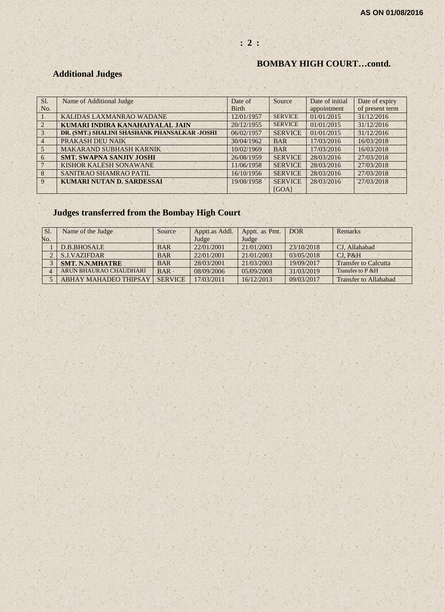## **: 2 :**

## **BOMBAY HIGH COURT…contd.**

# **Additional Judges**

| Sl.            | Name of Additional Judge                      | Date of      | Source         | Date of initial | Date of expiry  |
|----------------|-----------------------------------------------|--------------|----------------|-----------------|-----------------|
| No.            |                                               | <b>Birth</b> |                | appointment     | of present term |
|                | KALIDAS LAXMANRAO WADANE                      | 12/01/1957   | <b>SERVICE</b> | 01/01/2015      | 31/12/2016      |
| $\overline{2}$ | KUMARI INDIRA KANAHAIYALAL JAIN               | 20/12/1955   | <b>SERVICE</b> | 01/01/2015      | 31/12/2016      |
| $\overline{3}$ | DR. (SMT.) SHALINI SHASHANK PHANSALKAR -JOSHI | 06/02/1957   | <b>SERVICE</b> | 01/01/2015      | 31/12/2016      |
| $\overline{4}$ | PRAKASH DEU NAIK                              | 30/04/1962   | <b>BAR</b>     | 17/03/2016      | 16/03/2018      |
| $\overline{5}$ | <b>MAKARAND SUBHASH KARNIK</b>                | 10/02/1969   | <b>BAR</b>     | 17/03/2016      | 16/03/2018      |
| 6              | <b>SMT. SWAPNA SANJIV JOSHI</b>               | 26/08/1959   | <b>SERVICE</b> | 28/03/2016      | 27/03/2018      |
|                | KISHOR KALESH SONAWANE                        | 11/06/1958   | <b>SERVICE</b> | 28/03/2016      | 27/03/2018      |
| 8              | SANITRAO SHAMRAO PATIL                        | 16/10/1956   | <b>SERVICE</b> | 28/03/2016      | 27/03/2018      |
| $\mathbf{Q}$   | <b>KUMARI NUTAN D. SARDESSAI</b>              | 19/08/1958   | <b>SERVICE</b> | 28/03/2016      | 27/03/2018      |
|                |                                               |              | [GOA]          |                 |                 |

# **Judges transferred from the Bombay High Court**

| SI. | Name of the Judge            | Source         | Apptt.as Addl. | Apptt. as Pmt. | <b>DOR</b> | Remarks                     |
|-----|------------------------------|----------------|----------------|----------------|------------|-----------------------------|
| No. |                              |                | Judge          | Judge          |            |                             |
|     | D.B.BHOSALE                  | <b>BAR</b>     | 22/01/2001     | 21/01/2003     | 23/10/2018 | CJ. Allahabad               |
|     | <b>S.J.VAZIFDAR</b>          | <b>BAR</b>     | 22/01/2001     | 21/01/2003     | 03/05/2018 | CI. P&H                     |
|     | <b>SMT. N.N.MHATRE</b>       | <b>BAR</b>     | 28/03/2001     | 21/03/2003     | 19/09/2017 | <b>Transfer to Calcutta</b> |
|     | ARUN BHAURAO CHAUDHARI       | <b>BAR</b>     | 08/09/2006     | 05/09/2008     | 31/03/2019 | Transfer to P & H           |
|     | <b>ABHAY MAHADEO THIPSAY</b> | <b>SERVICE</b> | 17/03/2011     | 16/12/2013     | 09/03/2017 | Transfer to Allahabad       |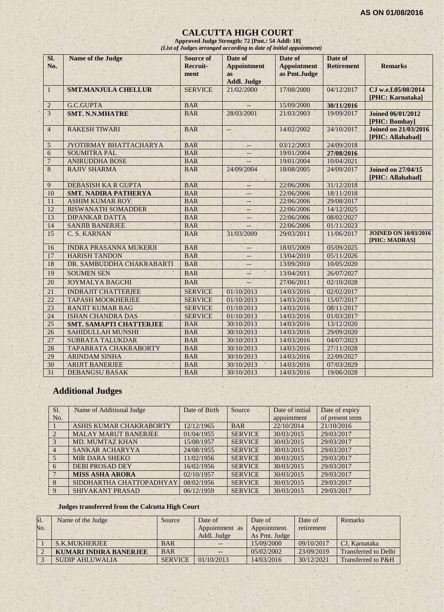#### **CALCUTTA HIGH COURT**

**Approved Judge Strength: 72 [Pmt.: 54 Addl: 18]** *(List of Judges arranged according to date of initial appointment)*

| SI.<br>No.              | <b>Name of the Judge</b>       | <b>Source of</b><br>Recruit- | Date of<br><b>Appointment</b>   | Date of<br><b>Appointment</b> | Date of<br><b>Retirement</b> | <b>Remarks</b>                                  |
|-------------------------|--------------------------------|------------------------------|---------------------------------|-------------------------------|------------------------------|-------------------------------------------------|
|                         |                                | ment                         | <b>as</b><br><b>Addl. Judge</b> | as Pmt.Judge                  |                              |                                                 |
| $\mathbf{1}$            | <b>SMT.MANJULA CHELLUR</b>     | <b>SERVICE</b>               | 21/02/2000<br>×                 | 17/08/2000                    | 04/12/2017                   | CJ w.e.f.05/08/2014<br>[PHC: Karnataka]         |
| $\boldsymbol{2}$        | <b>G.C.GUPTA</b>               | <b>BAR</b>                   |                                 | 15/09/2000                    | 30/11/2016                   |                                                 |
| $\overline{\mathbf{3}}$ | <b>SMT. N.N.MHATRE</b>         | <b>BAR</b>                   | 28/03/2001                      | 21/03/2003                    | 19/09/2017                   | <b>Joined 06/01/2012</b><br>[PHC: Bombay]       |
| $\overline{4}$          | <b>RAKESH TIWARI</b>           | <b>BAR</b>                   |                                 | 14/02/2002                    | 24/10/2017                   | <b>Joined on 21/03/2016</b><br>[PHC: Allahabad] |
| 5                       | JYOTIRMAY BHATTACHARYA         | <b>BAR</b>                   | $-$                             | 03/12/2003                    | 24/09/2018                   |                                                 |
| $\mathbf{6}$            | <b>SOUMITRA PAL</b>            | <b>BAR</b>                   | $- -$                           | 19/01/2004                    | 27/08/2016                   |                                                 |
| $\overline{7}$          | <b>ANIRUDDHA BOSE</b>          | <b>BAR</b>                   | $-$                             | 19/01/2004                    | 10/04/2021                   |                                                 |
| 8                       | <b>RAJIV SHARMA</b>            | <b>BAR</b>                   | 24/09/2004                      | 18/08/2005                    | 24/09/2017                   | <b>Joined on 27/04/15</b><br>[PHC: Allahabad]   |
| 9                       | <b>DEBASISH KA R GUPTA</b>     | <b>BAR</b>                   |                                 | 22/06/2006                    | 31/12/2018                   |                                                 |
| 10                      | <b>SMT. NADIRA PATHERYA</b>    | <b>BAR</b>                   | --                              | 22/06/2006                    | 18/11/2018                   |                                                 |
| 11                      | <b>ASHIM KUMAR ROY</b>         | <b>BAR</b>                   | $--$                            | 22/06/2006                    | 29/08/2017                   |                                                 |
| 12                      | <b>BISWANATH SOMADDER</b>      | <b>BAR</b>                   | $\qquad \qquad -$               | 22/06/2006                    | 14/12/2025                   |                                                 |
| 13                      | <b>DIPANKAR DATTA</b>          | <b>BAR</b>                   | $-$                             | 22/06/2006                    | 08/02/2027                   |                                                 |
| 14                      | <b>SANJIB BANERJEE</b>         | <b>BAR</b>                   | $\overline{\phantom{a}}$        | 22/06/2006                    | 01/11/2023                   |                                                 |
| 15                      | C. S. KARNAN                   | <b>BAR</b>                   | 31/03/2009                      | 29/03/2011                    | 11/06/2017                   | <b>JOINED ON 10/03/2016</b><br>[PHC: MADRAS]    |
| 16                      | <b>INDRA PRASANNA MUKERJI</b>  | <b>BAR</b>                   | $\overline{\phantom{a}}$        | 18/05/2009                    | 05/09/2025                   |                                                 |
| 17                      | <b>HARISH TANDON</b>           | <b>BAR</b>                   | $-$                             | 13/04/2010                    | 05/11/2026                   |                                                 |
| 18                      | DR. SAMBUDDHA CHAKRABARTI      | <b>BAR</b>                   |                                 | 13/09/2010                    | 10/05/2020                   |                                                 |
| 19                      | <b>SOUMEN SEN</b>              | <b>BAR</b>                   | ш                               | 13/04/2011                    | 26/07/2027                   |                                                 |
| 20                      | <b>JOYMALYA BAGCHI</b>         | <b>BAR</b>                   |                                 | 27/06/2011                    | 02/10/2028                   |                                                 |
| 21                      | <b>INDRAJIT CHATTERJEE</b>     | <b>SERVICE</b>               | 01/10/2013                      | 14/03/2016                    | 02/02/2017                   |                                                 |
| 22                      | <b>TAPASH MOOKHERJEE</b>       | <b>SERVICE</b>               | 01/10/2013                      | 14/03/2016                    | 15/07/2017                   |                                                 |
| $\overline{23}$         | <b>RANJIT KUMAR BAG</b>        | <b>SERVICE</b>               | 01/10/2013                      | 14/03/2016                    | 08/11/2017                   |                                                 |
| 24                      | <b>ISHAN CHANDRA DAS</b>       | <b>SERVICE</b>               | 01/10/2013                      | 14/03/2016                    | 01/03/2017                   |                                                 |
| 25                      | <b>SMT. SAMAPTI CHATTERJEE</b> | <b>BAR</b>                   | 30/10/2013                      | 14/03/2016                    | 13/12/2020                   |                                                 |
| 26                      | SAHIDULLAH MUNSHI              | <b>BAR</b>                   | 30/10/2013                      | 14/03/2016                    | 29/09/2020                   |                                                 |
| 27                      | <b>SUBRATA TALUKDAR</b>        | <b>BAR</b>                   | 30/10/2013                      | 14/03/2016                    | 04/07/2023                   |                                                 |
| 28                      | <b>TAPABRATA CHAKRABORTY</b>   | <b>BAR</b>                   | 30/10/2013                      | 14/03/2016                    | 27/11/2028                   |                                                 |
| 29                      | <b>ARINDAM SINHA</b>           | <b>BAR</b>                   | 30/10/2013                      | 14/03/2016                    | 22/09/2027                   |                                                 |
| 30                      | <b>ARIJIT BANERJEE</b>         | <b>BAR</b>                   | 30/10/2013                      | 14/03/2016                    | 07/03/2029                   |                                                 |
| 31                      | <b>DEBANGSU BASAK</b>          | <b>BAR</b>                   | 30/10/2013                      | 14/03/2016                    | 19/06/2028                   |                                                 |

# **Additional Judges**

| Sl.            | Name of Additional Judge    | Date of Birth | Source         | Date of initial | Date of expiry  |
|----------------|-----------------------------|---------------|----------------|-----------------|-----------------|
| No.            |                             |               |                | appointment     | of present term |
|                | ASHIS KUMAR CHAKRABORTY     | 12/12/1965    | <b>BAR</b>     | 22/10/2014      | 21/10/2016      |
| $\mathcal{D}$  | <b>MALAY MARUT BANERJEE</b> | 01/04/1955    | <b>SERVICE</b> | 30/03/2015      | 29/03/2017      |
| $\mathcal{R}$  | <b>MD. MUMTAZ KHAN</b>      | 15/08/1957    | <b>SERVICE</b> | 30/03/2015      | 29/03/2017      |
| $\overline{4}$ | SANKAR ACHARYYA             | 24/08/1955    | <b>SERVICE</b> | 30/03/2015      | 29/03/2017      |
| $\sim$         | <b>MIR DARA SHEKO</b>       | 11/02/1956    | <b>SERVICE</b> | 30/03/2015      | 29/03/2017      |
| 6              | <b>DEBI PROSAD DEY</b>      | 16/02/1956    | <b>SERVICE</b> | 30/03/2015      | 29/03/2017      |
|                | <b>MISS ASHA ARORA</b>      | 02/10/1957    | <b>SERVICE</b> | 30/03/2015      | 29/03/2017      |
| 8              | SIDDHARTHA CHATTOPADHYAY    | 08/02/1956    | <b>SERVICE</b> | 30/03/2015      | 29/03/2017      |
| 9              | <b>SHIVAKANT PRASAD</b>     | 06/12/1959    | <b>SERVICE</b> | 30/03/2015      | 29/03/2017      |

#### **Judges transferred from the Calcutta High Court**

| <b>S1.</b>     | Name of the Judge             | Source         | Date of        | Date of       | Date of    | Remarks                     |
|----------------|-------------------------------|----------------|----------------|---------------|------------|-----------------------------|
| N <sub>O</sub> |                               |                | Appointment as | Appointment   | retirement |                             |
|                |                               |                | Addl. Judge    | As Pmt. Judge |            |                             |
|                | S.K.MUKHERJEE                 | <b>BAR</b>     |                | 15/09/2000    | 09/10/2017 | CJ. Karnataka               |
|                | <b>KUMARI INDIRA BANERJEE</b> | <b>BAR</b>     | $--$           | 05/02/2002    | 23/09/2019 | <b>Transferred to Delhi</b> |
|                | SUDIP AHLUWALIA               | <b>SERVICE</b> | 01/10/2013     | 14/03/2016    | 30/12/2021 | Transferred to P&H          |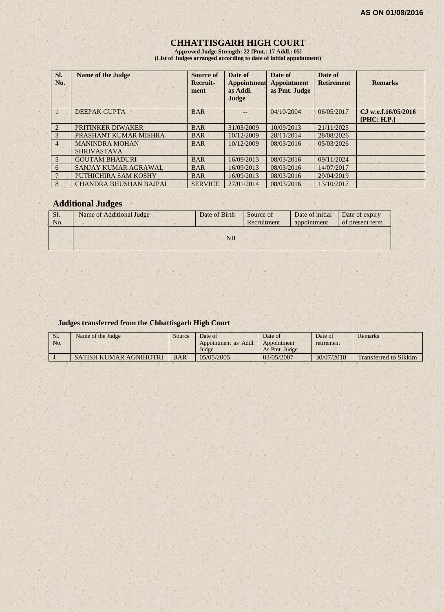## **CHHATTISGARH HIGH COURT**

**Approved Judge Strength: 22 [Pmt.: 17 Addl.: 05] (List of Judges arranged according to date of initial appointment)**

| SI.<br>No.     | <b>Name of the Judge</b>                    | Source of<br>Recruit-<br>ment | Date of<br>Appointment<br>as Addl.<br>Judge | Date of<br><b>Appointment</b><br>as Pmt. Judge | Date of<br><b>Retirement</b> | <b>Remarks</b>                     |
|----------------|---------------------------------------------|-------------------------------|---------------------------------------------|------------------------------------------------|------------------------------|------------------------------------|
|                | <b>DEEPAK GUPTA</b>                         | <b>BAR</b>                    |                                             | 04/10/2004                                     | 06/05/2017                   | CJ w.e.f.16/05/2016<br>[PHC: H.P.] |
| $\mathcal{L}$  | PRITINKER DIWAKER                           | <b>BAR</b>                    | 31/03/2009                                  | 10/09/2013                                     | 21/11/2023                   |                                    |
| 3              | PRASHANT KUMAR MISHRA                       | <b>BAR</b>                    | 10/12/2009                                  | 28/11/2014                                     | 28/08/2026                   |                                    |
| $\overline{4}$ | <b>MANINDRA MOHAN</b><br><b>SHRIVASTAVA</b> | <b>BAR</b>                    | 10/12/2009                                  | 08/03/2016                                     | 05/03/2026                   |                                    |
| 5              | <b>GOUTAM BHADURI</b>                       | <b>BAR</b>                    | 16/09/2013                                  | 08/03/2016                                     | 09/11/2024                   |                                    |
| 6              | SANJAY KUMAR AGRAWAL                        | <b>BAR</b>                    | 16/09/2013                                  | 08/03/2016                                     | 14/07/2017                   |                                    |
|                | PUTHICHIRA SAM KOSHY                        | <b>BAR</b>                    | 16/09/2013                                  | 08/03/2016                                     | 29/04/2019                   |                                    |
| 8              | <b>CHANDRA BHUSHAN BAJPAI</b>               | <b>SERVICE</b>                | 27/01/2014                                  | 08/03/2016                                     | 13/10/2017                   |                                    |

## **Additional Judges**

| Sl.<br>No. | Name of Additional Judge | Date of Birth | Date of initial<br>Source of<br>Recruitment<br>appointment | Date of expiry<br>of present term |
|------------|--------------------------|---------------|------------------------------------------------------------|-----------------------------------|
|            |                          | <b>NIL</b>    |                                                            |                                   |

#### **Judges transferred from the Chhattisgarh High Court**

| S1. | Name of the Judge             | Source     | Date of              | Date of       | Date of    | Remarks                      |
|-----|-------------------------------|------------|----------------------|---------------|------------|------------------------------|
| No. |                               |            | Appointment as Addl. | Appointment   | retirement |                              |
|     |                               |            | Judge                | As Pmt. Judge |            |                              |
|     | <b>SATISH KUMAR AGNIHOTRI</b> | <b>BAR</b> | 05/05/2005           | 03/05/2007    | 30/07/2018 | <b>Transferred to Sikkim</b> |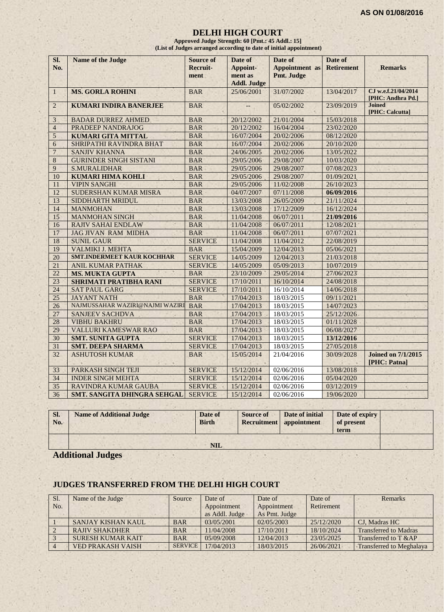#### **DELHI HIGH COURT**

**Approved Judge Strength: 60 [Pmt.: 45 Addl.: 15] (List of Judges arranged according to date of initial appointment)**

| Sl.<br>No.      | <b>Name of the Judge</b>        | <b>Source of</b><br><b>Recruit-</b><br>ment | Date of<br>Appoint-<br>ment as<br><b>Addl. Judge</b> | Date of<br><b>Appointment</b> as<br>Pmt. Judge | Date of<br><b>Retirement</b> | <b>Remarks</b>                            |
|-----------------|---------------------------------|---------------------------------------------|------------------------------------------------------|------------------------------------------------|------------------------------|-------------------------------------------|
| $\mathbf{1}$    | <b>MS. GORLA ROHINI</b>         | <b>BAR</b>                                  | 25/06/2001                                           | 31/07/2002                                     | 13/04/2017                   | CJ w.e.f.21/04/2014<br>[PHC: Andhra Pd.]  |
| 2               | <b>KUMARI INDIRA BANERJEE</b>   | <b>BAR</b>                                  | $-$                                                  | 05/02/2002                                     | 23/09/2019                   | <b>Joined</b><br>[PHC: Calcutta]          |
| 3               | <b>BADAR DURREZ AHMED</b>       | <b>BAR</b>                                  | 20/12/2002                                           | 21/01/2004                                     | 15/03/2018                   |                                           |
| $\overline{4}$  | PRADEEP NANDRAJOG               | <b>BAR</b>                                  | 20/12/2002                                           | 16/04/2004                                     | 23/02/2020                   |                                           |
| 5               | <b>KUMARI GITA MITTAL</b>       | <b>BAR</b>                                  | 16/07/2004                                           | 20/02/2006                                     | 08/12/2020                   |                                           |
| 6               | SHRIPATHI RAVINDRA BHAT         | <b>BAR</b>                                  | 16/07/2004                                           | 20/02/2006                                     | 20/10/2020                   |                                           |
| $\overline{7}$  | <b>SANJIV KHANNA</b>            | <b>BAR</b>                                  | 24/06/2005                                           | 20/02/2006                                     | 13/05/2022                   |                                           |
| 8               | <b>GURINDER SINGH SISTANI</b>   | <b>BAR</b>                                  | 29/05/2006                                           | 29/08/2007                                     | 10/03/2020                   |                                           |
| 9               | <b>S.MURALIDHAR</b>             | <b>BAR</b>                                  | 29/05/2006                                           | 29/08/2007                                     | 07/08/2023                   |                                           |
| 10              | <b>KUMARI HIMA KOHLI</b>        | <b>BAR</b>                                  | 29/05/2006                                           | 29/08/2007                                     | 01/09/2021                   |                                           |
| 11              | <b>VIPIN SANGHI</b>             | <b>BAR</b>                                  | 29/05/2006                                           | 11/02/2008                                     | 26/10/2023                   |                                           |
| 12              | SUDERSHAN KUMAR MISRA           | <b>BAR</b>                                  | 04/07/2007                                           | 07/11/2008                                     | 06/09/2016                   |                                           |
| 13              | SIDDHARTH MRIDUL                | <b>BAR</b>                                  | 13/03/2008                                           | 26/05/2009                                     | 21/11/2024                   |                                           |
| 14              | <b>MANMOHAN</b>                 | <b>BAR</b>                                  | 13/03/2008                                           | 17/12/2009                                     | 16/12/2024                   |                                           |
| 15              | <b>MANMOHAN SINGH</b>           | <b>BAR</b>                                  | 11/04/2008                                           | 06/07/2011                                     | 21/09/2016                   |                                           |
| 16              | <b>RAJIV SAHAI ENDLAW</b>       | <b>BAR</b>                                  | 11/04/2008                                           | 06/07/2011                                     | 12/08/2021                   |                                           |
| 17              | <b>JAG JIVAN RAM MIDHA</b>      | <b>BAR</b>                                  | 11/04/2008                                           | 06/07/2011                                     | 07/07/2021                   |                                           |
| 18              | <b>SUNIL GAUR</b>               | <b>SERVICE</b>                              | 11/04/2008                                           | 11/04/2012                                     | 22/08/2019                   |                                           |
| 19              | VALMIKI J. MEHTA                | <b>BAR</b>                                  | 15/04/2009                                           | 12/04/2013                                     | 05/06/2021                   |                                           |
| 20              | SMT.INDERMEET KAUR KOCHHAR      | <b>SERVICE</b>                              | 14/05/2009                                           | 12/04/2013                                     | 21/03/2018                   |                                           |
| 21              | <b>ANIL KUMAR PATHAK</b>        | <b>SERVICE</b>                              | 14/05/2009                                           | 05/09/2013                                     | 10/07/2019                   |                                           |
| 22              | <b>MS. MUKTA GUPTA</b>          | <b>BAR</b>                                  | 23/10/2009                                           | 29/05/2014                                     | 27/06/2023                   |                                           |
| 23              | <b>SHRIMATI PRATIBHA RANI</b>   | <b>SERVICE</b>                              | 17/10/2011                                           | 16/10/2014                                     | 24/08/2018                   |                                           |
| 24              | <b>SAT PAUL GARG</b>            | <b>SERVICE</b>                              | 17/10/2011                                           | 16/10/2014                                     | 14/06/2018                   |                                           |
| 25              | <b>JAYANT NATH</b>              | <b>BAR</b>                                  | 17/04/2013                                           | 18/03/2015                                     | 09/11/2021                   |                                           |
| $\overline{26}$ | NAJMUSSAHAR WAZIRI@NAJMI WAZIRI | <b>BAR</b>                                  | 17/04/2013                                           | 18/03/2015                                     | 14/07/2023                   |                                           |
| 27              | <b>SANJEEV SACHDVA</b>          | <b>BAR</b>                                  | 17/04/2013                                           | 18/03/2015                                     | 25/12/2026                   |                                           |
| 28              | <b>VIBHU BAKHRU</b>             | <b>BAR</b>                                  | 17/04/2013                                           | 18/03/2015                                     | 01/11/2028                   |                                           |
| 29              | VALLURI KAMESWAR RAO            | <b>BAR</b>                                  | 17/04/2013                                           | 18/03/2015                                     | 06/08/2027                   |                                           |
| 30              | <b>SMT. SUNITA GUPTA</b>        | <b>SERVICE</b>                              | 17/04/2013                                           | 18/03/2015                                     | 13/12/2016                   |                                           |
| 31              | <b>SMT. DEEPA SHARMA</b>        | <b>SERVICE</b>                              | 17/04/2013                                           | 18/03/2015                                     | 27/05/2018                   |                                           |
| 32              | <b>ASHUTOSH KUMAR</b>           | <b>BAR</b>                                  | 15/05/2014                                           | 21/04/2016                                     | 30/09/2028                   | <b>Joined on 7/1/2015</b><br>[PHC: Patna] |
| 33              | PARKASH SINGH TEJI              | <b>SERVICE</b>                              | 15/12/2014                                           | 02/06/2016                                     | 13/08/2018                   |                                           |
| 34              | <b>INDER SINGH MEHTA</b>        | <b>SERVICE</b>                              | 15/12/2014                                           | 02/06/2016                                     | 05/04/2020                   |                                           |
| $\overline{35}$ | RAVINDRA KUMAR GAUBA            | <b>SERVICE</b>                              | 15/12/2014                                           | 02/06/2016                                     | 03/12/2019                   |                                           |
| 36              | SMT. SANGITA DHINGRA SEHGAL     | <b>SERVICE</b>                              | 15/12/2014                                           | 02/06/2016                                     | 19/06/2020                   |                                           |

| SI.<br>No. | <b>Name of Additional Judge</b> | Date of<br><b>Birth</b> | <b>Source of</b> | Date of initial<br>Recruitment appointment | Date of expiry<br>of present<br>term |  |
|------------|---------------------------------|-------------------------|------------------|--------------------------------------------|--------------------------------------|--|
|            |                                 | <b>NIL</b>              |                  |                                            |                                      |  |

**Additional Judges**

# **JUDGES TRANSFERRED FROM THE DELHI HIGH COURT**

| Sl. | Name of the Judge        | Source         | Date of        | Date of       | Date of    | Remarks                      |
|-----|--------------------------|----------------|----------------|---------------|------------|------------------------------|
| No. |                          |                | Appointment    | Appointment   | Retirement |                              |
|     |                          |                | as Addl. Judge | As Pmt. Judge |            |                              |
|     | SANJAY KISHAN KAUL       | <b>BAR</b>     | 03/05/2001     | 02/05/2003    | 25/12/2020 | CJ. Madras HC                |
|     | <b>RAJIV SHAKDHER</b>    | <b>BAR</b>     | 11/04/2008     | 17/10/2011    | 18/10/2024 | <b>Transferred to Madras</b> |
|     | <b>SURESH KUMAR KAIT</b> | <b>BAR</b>     | 05/09/2008     | 12/04/2013    | 23/05/2025 | Transferred to T &AP         |
|     | <b>VED PRAKASH VAISH</b> | <b>SERVICE</b> | 17/04/2013     | 18/03/2015    | 26/06/2021 | Transferred to Meghalaya     |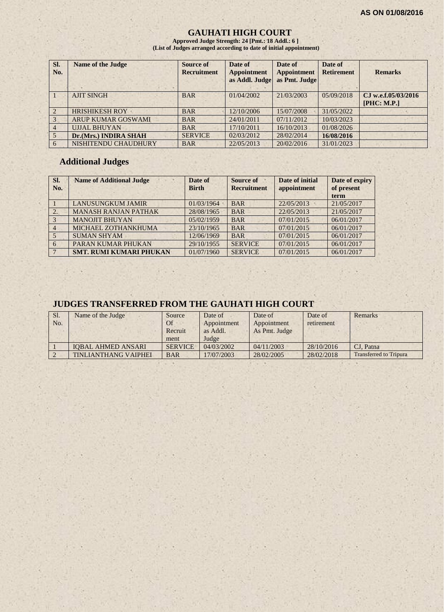## **GAUHATI HIGH COURT**

**Approved Judge Strength: 24 [Pmt.: 18 Addl.: 6 ] (List of Judges arranged according to date of initial appointment)**

| Sl.<br>No.     | <b>Name of the Judge</b>  | Source of<br><b>Recruitment</b> | Date of<br><b>Appointment</b><br>as Addl. Judge | Date of<br><b>Appointment</b><br>as Pmt. Judge | Date of<br><b>Retirement</b> | <b>Remarks</b>                     |
|----------------|---------------------------|---------------------------------|-------------------------------------------------|------------------------------------------------|------------------------------|------------------------------------|
|                | <b>AJIT SINGH</b>         | <b>BAR</b>                      | 01/04/2002                                      | 21/03/2003                                     | 05/09/2018                   | CJ w.e.f.05/03/2016<br>[PHC: M.P.] |
| $\overline{2}$ | <b>HRISHIKESH ROY</b>     | <b>BAR</b>                      | 12/10/2006                                      | 15/07/2008                                     | 31/05/2022                   |                                    |
| 3              | <b>ARUP KUMAR GOSWAMI</b> | <b>BAR</b>                      | 24/01/2011                                      | 07/11/2012                                     | 10/03/2023                   |                                    |
| $\overline{4}$ | <b>UJJAL BHUYAN</b>       | <b>BAR</b>                      | 17/10/2011                                      | 16/10/2013                                     | 01/08/2026                   |                                    |
|                | Dr.(Mrs.) INDIRA SHAH     | <b>SERVICE</b>                  | 02/03/2012                                      | 28/02/2014                                     | 16/08/2016                   |                                    |
|                | NISHITENDU CHAUDHURY      | <b>BAR</b>                      | 22/05/2013                                      | 20/02/2016                                     | 31/01/2023                   |                                    |

## **Additional Judges**

| Sl.<br>No.     | <b>Name of Additional Judge</b> | Date of<br><b>Birth</b> | Source of<br><b>Recruitment</b> | Date of initial<br>appointment | Date of expiry<br>of present<br>term |
|----------------|---------------------------------|-------------------------|---------------------------------|--------------------------------|--------------------------------------|
|                | <b>LANUSUNGKUM JAMIR</b>        | 01/03/1964              | <b>BAR</b>                      | 22/05/2013                     | 21/05/2017                           |
| 2.             | <b>MANASH RANJAN PATHAK</b>     | 28/08/1965              | <b>BAR</b>                      | 22/05/2013                     | 21/05/2017                           |
| $\vert$ 3      | <b>MANOJIT BHUYAN</b>           | 05/02/1959              | <b>BAR</b>                      | 07/01/2015                     | 06/01/2017                           |
| $\overline{4}$ | MICHAEL ZOTHANKHUMA             | 23/10/1965              | <b>BAR</b>                      | 07/01/2015                     | 06/01/2017                           |
| 5 <sup>5</sup> | <b>SUMAN SHYAM</b>              | 12/06/1969              | <b>BAR</b>                      | 07/01/2015                     | 06/01/2017                           |
| 6              | PARAN KUMAR PHUKAN              | 29/10/1955              | <b>SERVICE</b>                  | 07/01/2015                     | 06/01/2017                           |
| $\sqrt{7}$     | <b>SMT. RUMI KUMARI PHUKAN</b>  | 01/07/1960              | <b>SERVICE</b>                  | 07/01/2015                     | 06/01/2017                           |

# **JUDGES TRANSFERRED FROM THE GAUHATI HIGH COURT**

| Sl. | Name of the Judge           | Source         | Date of     | Date of       | Date of    | Remarks                       |
|-----|-----------------------------|----------------|-------------|---------------|------------|-------------------------------|
| No. |                             | Of             | Appointment | Appointment   | retirement |                               |
|     |                             | Recruit        | as Addl.    | As Pmt. Judge |            |                               |
|     |                             | ment           | Judge       |               |            |                               |
|     | <b>IOBAL AHMED ANSARI</b>   | <b>SERVICE</b> | 04/03/2002  | 04/11/2003    | 28/10/2016 | CJ. Patna                     |
|     | <b>TINLIANTHANG VAIPHEI</b> | <b>BAR</b>     | 17/07/2003  | 28/02/2005    | 28/02/2018 | <b>Transferred to Tripura</b> |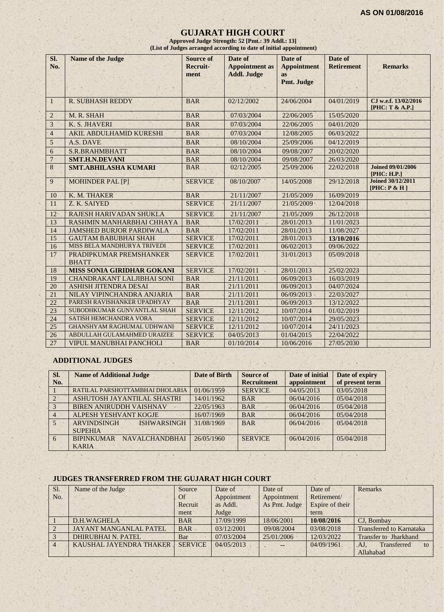#### **GUJARAT HIGH COURT**

**Approved Judge Strength: 52 [Pmt.: 39 Addl.: 13] (List of Judges arranged according to date of initial appointment)**

| SI.            | <b>Name of the Judge</b>                                          | <b>Source of</b>         | Date of                                     | Date of                  | Date of                  |                                          |
|----------------|-------------------------------------------------------------------|--------------------------|---------------------------------------------|--------------------------|--------------------------|------------------------------------------|
| No.            |                                                                   | Recruit-<br>ment         | <b>Appointment</b> as<br><b>Addl. Judge</b> | <b>Appointment</b><br>as | <b>Retirement</b>        | <b>Remarks</b>                           |
|                |                                                                   |                          |                                             | Pmt. Judge               |                          |                                          |
|                |                                                                   |                          |                                             |                          |                          |                                          |
| $\mathbf{1}$   | <b>R. SUBHASH REDDY</b>                                           | <b>BAR</b>               | 02/12/2002                                  | 24/06/2004               | 04/01/2019               | CJ w.e.f. 13/02/2016<br>[PHC: T & A.P.]  |
| $\overline{2}$ | M. R. SHAH                                                        | <b>BAR</b>               | 07/03/2004                                  | 22/06/2005               | 15/05/2020               |                                          |
| 3              | K. S. JHAVERI                                                     | <b>BAR</b>               | 07/03/2004                                  | 22/06/2005               | 04/01/2020               |                                          |
| $\overline{4}$ | <b>AKIL ABDULHAMID KURESHI</b>                                    | <b>BAR</b>               | 07/03/2004                                  | 12/08/2005               | 06/03/2022               |                                          |
| 5              | A.S. DAVE                                                         | <b>BAR</b>               | 08/10/2004                                  | 25/09/2006               | 04/12/2019               |                                          |
| 6              | <b>S.R.BRAHMBHATT</b>                                             | <b>BAR</b>               | 08/10/2004                                  | 09/08/2007               | 20/02/2020               |                                          |
| $\overline{7}$ | <b>SMT.H.N.DEVANI</b>                                             | <b>BAR</b>               | 08/10/2004                                  | 09/08/2007               | 26/03/2020               |                                          |
| 8              | <b>SMT.ABHILASHA KUMARI</b>                                       | <b>BAR</b>               | 02/12/2005                                  | 25/09/2006               | 22/02/2018               | <b>Joined 09/01/2006</b><br>[PHC: H.P.]  |
| 9              | <b>MOHINDER PAL [P]</b>                                           | <b>SERVICE</b>           | 08/10/2007                                  | 14/05/2008               | 29/12/2018               | <b>Joined 30/12/2011</b><br>[PHC: P & H] |
| 10             | K. M. THAKER                                                      | <b>BAR</b>               | 21/11/2007                                  | 21/05/2009               | 16/09/2019               |                                          |
| 11             | Z. K. SAIYED                                                      | <b>SERVICE</b>           | 21/11/2007                                  | 21/05/2009               | 12/04/2018               |                                          |
| 12             | RAJESH HARIVADAN SHUKLA                                           | <b>SERVICE</b>           | 21/11/2007                                  | 21/05/2009               | 26/12/2018               |                                          |
| 13             | RASHMIN MANHARBHAI CHHAYA                                         | <b>BAR</b>               | 17/02/2011                                  | 28/01/2013               | 11/01/2023               |                                          |
| 14             | <b>JAMSHED BURJOR PARDIWALA</b>                                   | <b>BAR</b>               | 17/02/2011                                  | 28/01/2013               | 11/08/2027               |                                          |
| 15             | <b>GAUTAM BABUBHAI SHAH</b>                                       | <b>SERVICE</b>           | 17/02/2011                                  | 28/01/2013               | 13/10/2016               |                                          |
| 16             | MISS BELA MANDHURYA TRIVEDI                                       | <b>SERVICE</b>           | 17/02/2011                                  | 06/02/2013               | 09/06/2022               |                                          |
| 17             | PRADIPKUMAR PREMSHANKER                                           | <b>SERVICE</b>           | 17/02/2011                                  | 31/01/2013               | 05/09/2018               |                                          |
|                | <b>BHATT</b>                                                      |                          |                                             |                          |                          |                                          |
| 18             | <b>MISS SONIA GIRIDHAR GOKANI</b>                                 | <b>SERVICE</b>           | 17/02/2011                                  | 28/01/2013               | 25/02/2023               |                                          |
| 19<br>20       | <b>CHANDRAKANT LALJIBHAI SONI</b><br><b>ASHISH JITENDRA DESAI</b> | <b>BAR</b><br><b>BAR</b> | 21/11/2011<br>21/11/2011                    | 06/09/2013<br>06/09/2013 | 16/03/2019<br>04/07/2024 |                                          |
| 21             | NILAY VIPINCHANDRA ANJARIA                                        | <b>BAR</b>               | 21/11/2011                                  | 06/09/2013               | 22/03/2027               |                                          |
| 22             | PARESH RAVISHANKER UPADHYAY                                       | <b>BAR</b>               | 21/11/2011                                  | 06/09/2013               | 13/12/2022               |                                          |
| 23             | SUBODHKUMAR GUNVANTLAL SHAH                                       | <b>SERVICE</b>           | 12/11/2012                                  | 10/07/2014               | 01/02/2019               |                                          |
| 24             | SATISH HEMCHANDRA VORA                                            | <b>SERVICE</b>           | 12/11/2012                                  | 10/07/2014               | 29/05/2023               |                                          |
| 25             | <b>GHANSHYAM RAGHUMAL UDHWANI</b>                                 | <b>SERVICE</b>           | 12/11/2012                                  | 10/07/2014               | 24/11/2023               |                                          |
| 26             | ABDULLAH GULAMAHMED URAIZEE                                       | <b>SERVICE</b>           | 04/05/2013                                  | 01/04/2015               | 22/04/2022               |                                          |
| 27             | <b>VIPUL MANUBHAI PANCHOLI</b>                                    | <b>BAR</b>               | 01/10/2014                                  | 10/06/2016               | 27/05/2030               |                                          |

#### **ADDITIONAL JUDGES**

| SI.            | <b>Name of Additional Judge</b>            | Date of Birth | <b>Source of</b>   | Date of initial | Date of expiry  |
|----------------|--------------------------------------------|---------------|--------------------|-----------------|-----------------|
| No.            |                                            |               | <b>Recruitment</b> | appointment     | of present term |
|                | RATILAL PARSHOTTAMBHAI DHOLARIA            | 01/06/1959    | <b>SERVICE</b>     | 04/05/2013      | 03/05/2018      |
| $\overline{2}$ | ASHUTOSH JAYANTILAL SHASTRI                | 14/01/1962    | <b>BAR</b>         | 06/04/2016      | 05/04/2018      |
| $\mathcal{R}$  | <b>BIREN ANIRUDDH VAISHNAV</b>             | 22/05/1963    | <b>BAR</b>         | 06/04/2016      | 05/04/2018      |
| $\overline{4}$ | ALPESH YESHVANT KOGJE                      | 16/07/1969    | <b>BAR</b>         | 06/04/2016      | 05/04/2018      |
| 5 <sup>5</sup> | <b>ARVINDSINGH</b><br><b>ISHWARSINGH</b>   | 31/08/1969    | <b>BAR</b>         | 06/04/2016      | 05/04/2018      |
|                | <b>SUPEHIA</b>                             |               |                    |                 |                 |
| 6              | <b>NAVALCHANDBHAI</b><br><b>BIPINKUMAR</b> | 26/05/1960    | <b>SERVICE</b>     | 06/04/2016      | 05/04/2018      |
|                | <b>KARIA</b>                               |               |                    |                 |                 |

#### **JUDGES TRANSFERRED FROM THE GUJARAT HIGH COURT**

| Sl. | Name of the Judge             | Source         | Date of     | Date of                | Date of         | Remarks                         |
|-----|-------------------------------|----------------|-------------|------------------------|-----------------|---------------------------------|
| No. |                               | <b>Of</b>      | Appointment | Appointment            | Retirement/     |                                 |
|     |                               | Recruit        | as Addl.    | As Pmt. Judge          | Expire of their |                                 |
|     |                               | ment           | Judge       |                        | term            |                                 |
|     | D.H.WAGHELA                   | <b>BAR</b>     | 17/09/1999  | 18/06/2001             | 10/08/2016      | CJ. Bombay                      |
|     | <b>JAYANT MANGANLAL PATEL</b> | <b>BAR</b>     | 03/12/2001  | 09/08/2004             | 03/08/2018      | <b>Transferred to Karnataka</b> |
|     | DHIRUBHAI N. PATEL            | Bar            | 07/03/2004  | 25/01/2006             | 12/03/2022      | Transfer to Jharkhand           |
|     | KAUSHAL JAYENDRA THAKER       | <b>SERVICE</b> | 04/05/2013  | $\qquad \qquad \cdots$ | 04/09/1961      | Transferred<br>AJ<br>to         |
|     |                               |                |             |                        |                 | Allahabad                       |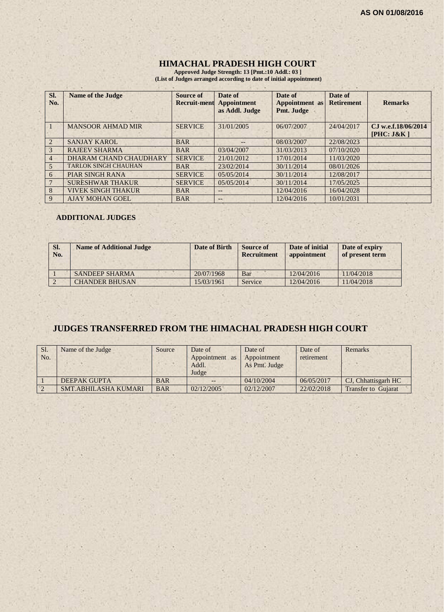## **HIMACHAL PRADESH HIGH COURT**

**Approved Judge Strength: 13 [Pmt.:10 Addl.: 03 ] (List of Judges arranged according to date of initial appointment)**

| Sl.<br>No.            | <b>Name of the Judge</b>    | <b>Source of</b><br><b>Recruit-ment</b> | Date of<br><b>Appointment</b><br>as Addl. Judge | Date of<br><b>Appointment</b> as<br>Pmt. Judge | Date of<br><b>Retirement</b> | <b>Remarks</b>                     |
|-----------------------|-----------------------------|-----------------------------------------|-------------------------------------------------|------------------------------------------------|------------------------------|------------------------------------|
|                       | <b>MANSOOR AHMAD MIR</b>    | <b>SERVICE</b>                          | 31/01/2005                                      | 06/07/2007                                     | 24/04/2017                   | C.I w.e.f.18/06/2014<br>[PHC: J&K] |
| $\mathcal{D}_{\cdot}$ | <b>SANJAY KAROL</b>         | <b>BAR</b>                              | $--$                                            | 08/03/2007                                     | 22/08/2023                   |                                    |
| 3                     | <b>RAJEEV SHARMA</b>        | <b>BAR</b>                              | 03/04/2007                                      | 31/03/2013                                     | 07/10/2020                   |                                    |
| $\overline{4}$        | DHARAM CHAND CHAUDHARY      | <b>SERVICE</b>                          | 21/01/2012                                      | 17/01/2014                                     | 11/03/2020                   |                                    |
| $\mathfrak{H}$        | <b>TARLOK SINGH CHAUHAN</b> | <b>BAR</b>                              | 23/02/2014                                      | 30/11/2014                                     | 08/01/2026                   |                                    |
| 6                     | <b>PIAR SINGH RANA</b>      | <b>SERVICE</b>                          | 05/05/2014                                      | 30/11/2014                                     | 12/08/2017                   |                                    |
|                       | <b>SURESHWAR THAKUR</b>     | <b>SERVICE</b>                          | 05/05/2014                                      | 30/11/2014                                     | 17/05/2025                   |                                    |
| 8                     | <b>VIVEK SINGH THAKUR</b>   | <b>BAR</b>                              |                                                 | 12/04/2016                                     | 16/04/2028                   |                                    |
| 9                     | <b>AJAY MOHAN GOEL</b>      | <b>BAR</b>                              | $- -$                                           | 12/04/2016                                     | 10/01/2031                   |                                    |

#### **ADDITIONAL JUDGES**

| SI.<br>No. | <b>Name of Additional Judge</b> | Date of Birth | <b>Source of</b><br>Recruitment | Date of initial<br>appointment | Date of expiry<br>of present term |
|------------|---------------------------------|---------------|---------------------------------|--------------------------------|-----------------------------------|
|            | <b>SANDEEP SHARMA</b>           | 20/07/1968    | Bar                             | 12/04/2016                     | 11/04/2018                        |
|            | <b>CHANDER BHUSAN</b>           | 15/03/1961    | Service                         | 12/04/2016                     | 11/04/2018                        |

## **JUDGES TRANSFERRED FROM THE HIMACHAL PRADESH HIGH COURT**

| Sl.<br>No.     | Name of the Judge    | Source     | Date of<br>Appointment as<br>Addl.<br>Judge | Date of<br>Appointment<br>As Pmt. Judge | Date of<br>retirement | Remarks                    |
|----------------|----------------------|------------|---------------------------------------------|-----------------------------------------|-----------------------|----------------------------|
|                | <b>DEEPAK GUPTA</b>  | <b>BAR</b> |                                             | 04/10/2004                              | 06/05/2017            | CJ, Chhattisgarh HC        |
| $\overline{2}$ | SMT.ABHILASHA KUMARI | <b>BAR</b> | 02/12/2005                                  | 02/12/2007                              | 22/02/2018            | <b>Transfer to Guiarat</b> |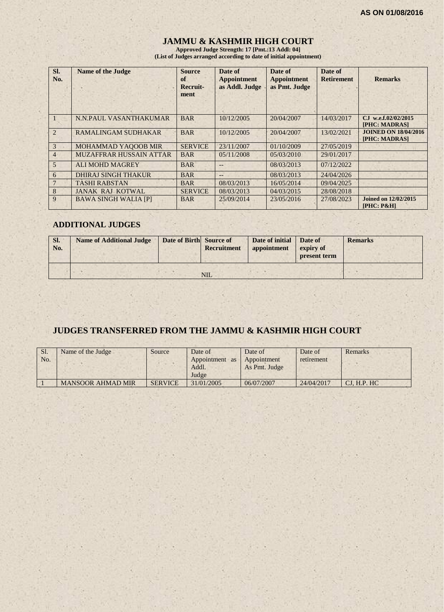## **JAMMU & KASHMIR HIGH COURT**

**Approved Judge Strength: 17 [Pmt.:13 Addl: 04] (List of Judges arranged according to date of initial appointment)**

| SI.<br>No.     | <b>Name of the Judge</b>       | <b>Source</b><br>of<br>Recruit-<br>ment | Date of<br><b>Appointment</b><br>as Addl. Judge | Date of<br><b>Appointment</b><br>as Pmt. Judge | Date of<br><b>Retirement</b> | <b>Remarks</b>                               |
|----------------|--------------------------------|-----------------------------------------|-------------------------------------------------|------------------------------------------------|------------------------------|----------------------------------------------|
|                | N.N.PAUL VASANTHAKUMAR         | <b>BAR</b>                              | 10/12/2005                                      | 20/04/2007                                     | 14/03/2017                   | CJ w.e.f.02/02/2015<br><b>[PHC: MADRAS]</b>  |
| $\mathfrak{D}$ | <b>RAMALINGAM SUDHAKAR</b>     | <b>BAR</b>                              | 10/12/2005                                      | 20/04/2007                                     | 13/02/2021                   | <b>JOINED ON 18/04/2016</b><br>[PHC: MADRAS] |
| 3              | MOHAMMAD YAQOOB MIR            | <b>SERVICE</b>                          | 23/11/2007                                      | 01/10/2009                                     | 27/05/2019                   |                                              |
| $\overline{4}$ | <b>MUZAFFRAR HUSSAIN ATTAR</b> | <b>BAR</b>                              | 0.5/11/2008                                     | 05/03/2010                                     | 29/01/2017                   |                                              |
| 5              | <b>ALI MOHD MAGREY</b>         | <b>BAR</b>                              | $- -$                                           | 08/03/2013                                     | 07/12/2022                   |                                              |
| 6              | <b>DHIRAJ SINGH THAKUR</b>     | <b>BAR</b>                              | $--$                                            | 08/03/2013                                     | 24/04/2026                   |                                              |
|                | <b>TASHI RABSTAN</b>           | <b>BAR</b>                              | 08/03/2013                                      | 16/05/2014                                     | 09/04/2025                   |                                              |
| 8              | <b>JANAK RAJ KOTWAL</b>        | <b>SERVICE</b>                          | 08/03/2013                                      | 04/03/2015                                     | 28/08/2018                   |                                              |
| 9              | <b>BAWA SINGH WALIA [P]</b>    | <b>BAR</b>                              | 25/09/2014                                      | 23/05/2016                                     | 27/08/2023                   | <b>Joined on 12/02/2015</b><br>$[PHC: P\&H]$ |

## **ADDITIONAL JUDGES**

| SI.<br>No. | <b>Name of Additional Judge</b> | Date of Birth Source of | <b>Recruitment</b> | Date of initial Date of<br>appointment | expiry of<br>present term | <b>Remarks</b> |
|------------|---------------------------------|-------------------------|--------------------|----------------------------------------|---------------------------|----------------|
|            |                                 |                         | NIL                |                                        |                           |                |

## **JUDGES TRANSFERRED FROM THE JAMMU & KASHMIR HIGH COURT**

| Sl.<br>No. | Name of the Judge        | Source         | Date of<br>Appointment<br>as<br>Addl.<br>Judge | Date of<br>Appointment<br>As Pmt. Judge | Date of<br>retirement | Remarks      |
|------------|--------------------------|----------------|------------------------------------------------|-----------------------------------------|-----------------------|--------------|
|            | <b>MANSOOR AHMAD MIR</b> | <b>SERVICE</b> | 31/01/2005                                     | 06/07/2007                              | 24/04/2017            | CI. H.P. H C |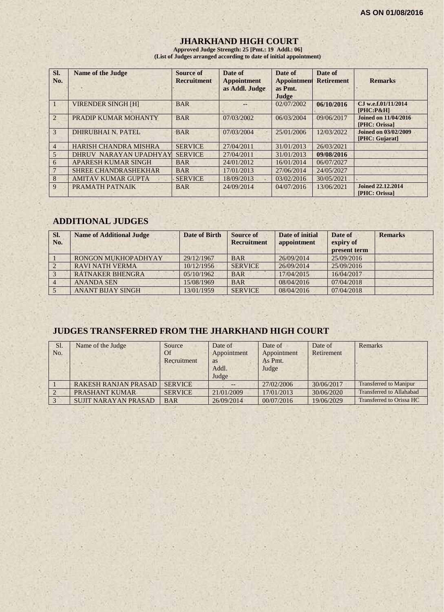## **JHARKHAND HIGH COURT**

**Approved Judge Strength: 25 [Pmt.: 19 Addl.: 06] (List of Judges arranged according to date of initial appointment)**

| SI.<br>No.     | <b>Name of the Judge</b>     | Source of<br><b>Recruitment</b> | Date of<br><b>Appointment</b><br>as Addl. Judge | Date of<br><b>Appointment</b><br>as Pmt.<br>Judge | Date of<br><b>Retirement</b> | <b>Remarks</b>                                   |
|----------------|------------------------------|---------------------------------|-------------------------------------------------|---------------------------------------------------|------------------------------|--------------------------------------------------|
|                | <b>VIRENDER SINGH [H]</b>    | <b>BAR</b>                      |                                                 | 02/07/2002                                        | 06/10/2016                   | CJ w.e.f.01/11/2014<br>$[PHC: P\&H]$             |
| $\overline{2}$ | PRADIP KUMAR MOHANTY         | <b>BAR</b>                      | 07/03/2002                                      | 06/03/2004                                        | 09/06/2017                   | <b>Joined on 11/04/2016</b><br>[PHC: Orissa]     |
| 3              | <b>DHIRUBHAI N. PATEL</b>    | <b>BAR</b>                      | 07/03/2004                                      | 25/01/2006                                        | 12/03/2022                   | <b>Joined on 03/02/2009</b><br>[PHC: Gujarat]    |
| 4              | <b>HARISH CHANDRA MISHRA</b> | <b>SERVICE</b>                  | 27/04/2011                                      | 31/01/2013                                        | 26/03/2021                   |                                                  |
| $\overline{5}$ | DHRUV NARAYAN UPADHYAY       | <b>SERVICE</b>                  | 27/04/2011                                      | 31/01/2013                                        | 09/08/2016                   |                                                  |
| 6              | APARESH KUMAR SINGH          | <b>BAR</b>                      | 24/01/2012                                      | 16/01/2014                                        | 06/07/2027                   |                                                  |
|                | <b>SHREE CHANDRASHEKHAR</b>  | <b>BAR</b>                      | 17/01/2013                                      | 27/06/2014                                        | 24/05/2027                   |                                                  |
| 8              | <b>AMITAV KUMAR GUPTA</b>    | <b>SERVICE</b>                  | 18/09/2013                                      | 03/02/2016                                        | 30/05/2021                   |                                                  |
| 9              | PRAMATH PATNAIK              | <b>BAR</b>                      | 24/09/2014                                      | 04/07/2016                                        | 13/06/2021                   | <b>Joined 22.12.2014</b><br><b>[PHC: Orissa]</b> |

## **ADDITIONAL JUDGES**

| SI.<br>No.     | <b>Name of Additional Judge</b> | Date of Birth | Source of<br><b>Recruitment</b> | Date of initial<br>appointment | Date of<br>expiry of<br>present term | <b>Remarks</b> |
|----------------|---------------------------------|---------------|---------------------------------|--------------------------------|--------------------------------------|----------------|
|                | RONGON MUKHOPADHYAY             | 29/12/1967    | <b>BAR</b>                      | 26/09/2014                     | 25/09/2016                           |                |
| $\overline{2}$ | <b>RAVI NATH VERMA</b>          | 10/12/1956    | <b>SERVICE</b>                  | 26/09/2014                     | 25/09/2016                           |                |
|                | <b>RATNAKER BHENGRA</b>         | 05/10/1962    | <b>BAR</b>                      | 17/04/2015                     | 16/04/2017                           |                |
|                | <b>ANANDA SEN</b>               | 15/08/1969    | <b>BAR</b>                      | 08/04/2016                     | 07/04/2018                           |                |
|                | <b>ANANT BIJAY SINGH</b>        | 13/01/1959    | <b>SERVICE</b>                  | 08/04/2016                     | 07/04/2018                           |                |

# **JUDGES TRANSFERRED FROM THE JHARKHAND HIGH COURT**

| Sl.<br>No. | Name of the Judge           | Source<br>Of<br>Recruitment | Date of<br>Appointment<br><b>as</b><br>Addl.<br>Judge | Date of<br>Appointment<br>As Pmt.<br>Judge | Date of<br>Retirement | Remarks                         |
|------------|-----------------------------|-----------------------------|-------------------------------------------------------|--------------------------------------------|-----------------------|---------------------------------|
|            | <b>RAKESH RANJAN PRASAD</b> | <b>SERVICE</b>              |                                                       | 27/02/2006                                 | 30/06/2017            | <b>Transferred to Manipur</b>   |
|            | <b>PRASHANT KUMAR</b>       | <b>SERVICE</b>              | 21/01/2009                                            | 17/01/2013                                 | 30/06/2020            | <b>Transferred to Allahabad</b> |
|            | <b>SUJIT NARAYAN PRASAD</b> | <b>BAR</b>                  | 26/09/2014                                            | 00/07/2016                                 | 19/06/2029            | Transferred to Orissa HC        |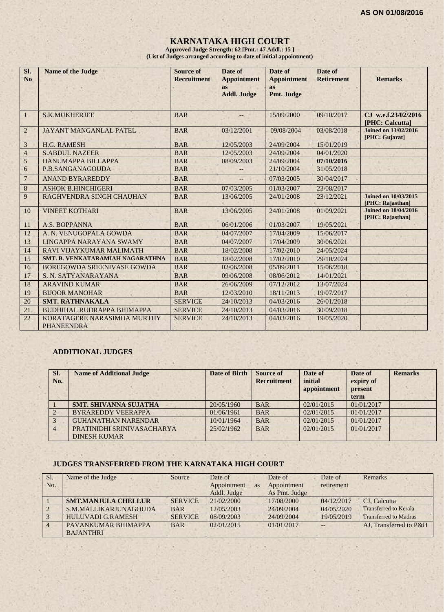## **KARNATAKA HIGH COURT**

**Approved Judge Strength: 62 [Pmt.: 47 Addl.: 15 ] (List of Judges arranged according to date of initial appointment)**

| SI.<br>N <sub>o</sub> | <b>Name of the Judge</b>                         | <b>Source of</b><br><b>Recruitment</b> | Date of<br><b>Appointment</b><br><b>as</b><br><b>Addl. Judge</b> | Date of<br><b>Appointment</b><br><b>as</b><br>Pmt. Judge | Date of<br><b>Retirement</b> | <b>Remarks</b>                                  |
|-----------------------|--------------------------------------------------|----------------------------------------|------------------------------------------------------------------|----------------------------------------------------------|------------------------------|-------------------------------------------------|
| $\mathbf{1}$          | <b>S.K.MUKHERJEE</b>                             | <b>BAR</b>                             |                                                                  | 15/09/2000                                               | 09/10/2017                   | CJ w.e.f.23/02/2016<br>[PHC: Calcutta]          |
| $\overline{2}$        | <b>JAYANT MANGANLAL PATEL</b>                    | <b>BAR</b>                             | 03/12/2001                                                       | 09/08/2004                                               | 03/08/2018                   | <b>Joined on 13/02/2016</b><br>[PHC: Gujarat]   |
| 3                     | <b>H.G. RAMESH</b>                               | <b>BAR</b>                             | 12/05/2003                                                       | 24/09/2004                                               | 15/01/2019                   |                                                 |
| $\overline{4}$        | <b>S.ABDUL NAZEER</b>                            | <b>BAR</b>                             | 12/05/2003                                                       | 24/09/2004                                               | 04/01/2020                   |                                                 |
| 5                     | <b>HANUMAPPA BILLAPPA</b>                        | <b>BAR</b>                             | 08/09/2003                                                       | 24/09/2004                                               | 07/10/2016                   |                                                 |
| 6                     | P.B.SANGANAGOUDA                                 | <b>BAR</b>                             |                                                                  | 21/10/2004                                               | 31/05/2018                   |                                                 |
| $\overline{7}$        | <b>ANAND BYRAREDDY</b>                           | <b>BAR</b>                             | $--$                                                             | 07/03/2005                                               | 30/04/2017                   |                                                 |
| $\,8\,$               | <b>ASHOK B.HINCHIGERI</b>                        | <b>BAR</b>                             | 07/03/2005                                                       | 01/03/2007                                               | 23/08/2017                   |                                                 |
| 9                     | RAGHVENDRA SINGH CHAUHAN                         | <b>BAR</b>                             | 13/06/2005                                                       | 24/01/2008                                               | 23/12/2021                   | <b>Joined on 10/03/2015</b><br>[PHC: Rajasthan] |
| 10                    | <b>VINEET KOTHARI</b>                            | <b>BAR</b>                             | 13/06/2005                                                       | 24/01/2008                                               | 01/09/2021                   | <b>Joined on 18/04/2016</b><br>[PHC: Rajasthan] |
| 11                    | A.S. BOPPANNA                                    | <b>BAR</b>                             | 06/01/2006                                                       | 01/03/2007                                               | 19/05/2021                   |                                                 |
| 12                    | A. N. VENUGOPALA GOWDA                           | <b>BAR</b>                             | 04/07/2007                                                       | 17/04/2009                                               | 15/06/2017                   |                                                 |
| 13                    | LINGAPPA NARAYANA SWAMY                          | <b>BAR</b>                             | 04/07/2007                                                       | 17/04/2009                                               | 30/06/2021                   |                                                 |
| 14                    | RAVI VIJAYKUMAR MALIMATH                         | <b>BAR</b>                             | 18/02/2008                                                       | 17/02/2010                                               | 24/05/2024                   |                                                 |
| 15                    | SMT. B. VENKATARAMIAH NAGARATHNA                 | <b>BAR</b>                             | 18/02/2008                                                       | 17/02/2010                                               | 29/10/2024                   |                                                 |
| 16                    | BOREGOWDA SREENIVASE GOWDA                       | <b>BAR</b>                             | 02/06/2008                                                       | 05/09/2011                                               | 15/06/2018                   |                                                 |
| 17                    | S. N. SATYANARAYANA                              | <b>BAR</b>                             | 09/06/2008                                                       | 08/06/2012                                               | 14/01/2021                   |                                                 |
| 18                    | <b>ARAVIND KUMAR</b>                             | <b>BAR</b>                             | 26/06/2009                                                       | 07/12/2012                                               | 13/07/2024                   |                                                 |
| 19                    | <b>BIJOOR MANOHAR</b>                            | <b>BAR</b>                             | 12/03/2010                                                       | 18/11/2013                                               | 19/07/2017                   |                                                 |
| 20                    | <b>SMT. RATHNAKALA</b>                           | <b>SERVICE</b>                         | 24/10/2013                                                       | 04/03/2016                                               | 26/01/2018                   |                                                 |
| 21                    | <b>BUDHIHAL RUDRAPPA BHIMAPPA</b>                | <b>SERVICE</b>                         | 24/10/2013                                                       | 04/03/2016                                               | 30/09/2018                   |                                                 |
| 22                    | KORATAGERE NARASIMHA MURTHY<br><b>PHANEENDRA</b> | <b>SERVICE</b>                         | 24/10/2013                                                       | 04/03/2016                                               | 19/05/2020                   |                                                 |

#### **ADDITIONAL JUDGES**

| SI.<br>No. | <b>Name of Additional Judge</b>                   | <b>Date of Birth</b> | Source of<br><b>Recruitment</b> | Date of<br>initial<br>appointment | Date of<br>expiry of<br>present<br>term | <b>Remarks</b> |
|------------|---------------------------------------------------|----------------------|---------------------------------|-----------------------------------|-----------------------------------------|----------------|
|            | <b>SMT. SHIVANNA SUJATHA</b>                      | 20/05/1960           | <b>BAR</b>                      | 02/01/2015                        | 01/01/2017                              |                |
|            | <b>BYRAREDDY VEERAPPA</b>                         | 01/06/1961           | <b>BAR</b>                      | 02/01/2015                        | 01/01/2017                              |                |
|            | <b>GUHANATHAN NARENDAR</b>                        | 10/01/1964           | <b>BAR</b>                      | 02/01/2015                        | 01/01/2017                              |                |
| 4          | PRATINIDHI SRINIVASACHARYA<br><b>DINESH KUMAR</b> | 25/02/1962           | <b>BAR</b>                      | 02/01/2015                        | 01/01/2017                              |                |

#### **JUDGES TRANSFERRED FROM THE KARNATAKA HIGH COURT**

| Sl. | Name of the Judge          | Source         | Date of     |           | Date of       | Date of    | Remarks                      |
|-----|----------------------------|----------------|-------------|-----------|---------------|------------|------------------------------|
| No. |                            |                | Appointment | <b>as</b> | Appointment   | retirement |                              |
|     |                            |                | Addl. Judge |           | As Pmt. Judge |            |                              |
|     | <b>SMT.MANJULA CHELLUR</b> | <b>SERVICE</b> | 21/02/2000  |           | 17/08/2000    | 04/12/2017 | CJ. Calcutta                 |
|     | S.M.MALLIKARJUNAGOUDA      | <b>BAR</b>     | 12/05/2003  |           | 24/09/2004    | 04/05/2020 | <b>Transferred to Kerala</b> |
|     | <b>HULUVADI G.RAMESH</b>   | <b>SERVICE</b> | 08/09/2003  |           | 24/09/2004    | 19/05/2019 | <b>Transferred to Madras</b> |
|     | PAVANKUMAR BHIMAPPA        | <b>BAR</b>     | 02/01/2015  |           | 01/01/2017    | $- -$      | AJ. Transferred to P&H       |
|     | <b>BAJANTHRI</b>           |                |             |           |               |            |                              |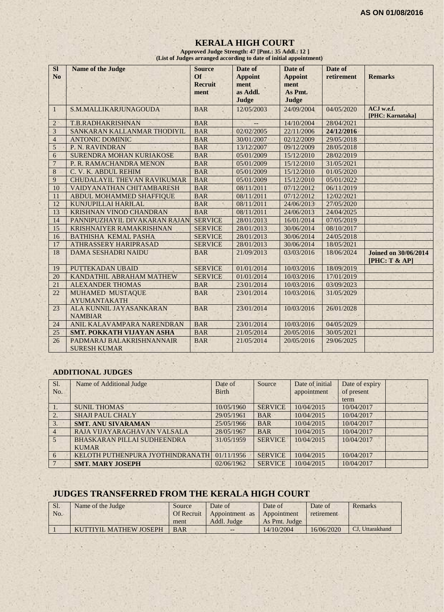#### **KERALA HIGH COURT Approved Judge Strength: 47 [Pmt.: 35 Addl.: 12 ]**

*<b>EXECUTE:* (List of Judges arranged according to date of initial appointment)

| SI<br>No        | <b>Name of the Judge</b>                         | <b>Source</b><br>$\overline{or}$<br><b>Recruit</b><br>ment | Date of<br><b>Appoint</b><br>ment<br>as Addl.<br>Judge | Date of<br><b>Appoint</b><br>ment<br>As Pmt.<br>Judge | Date of<br>retirement | <b>Remarks</b>                               |
|-----------------|--------------------------------------------------|------------------------------------------------------------|--------------------------------------------------------|-------------------------------------------------------|-----------------------|----------------------------------------------|
| $\mathbf{1}$    | S.M.MALLIKARJUNAGOUDA                            | <b>BAR</b>                                                 | 12/05/2003                                             | 24/09/2004                                            | 04/05/2020            | ACJ w.e.f.<br>[PHC: Karnataka]               |
| $\overline{2}$  | T.B.RADHAKRISHNAN                                | <b>BAR</b>                                                 |                                                        | 14/10/2004                                            | 28/04/2021            |                                              |
| $\mathfrak{Z}$  | SANKARAN KALLANMAR THODIYIL                      | <b>BAR</b>                                                 | 02/02/2005                                             | 22/11/2006                                            | 24/12/2016            |                                              |
| $\overline{4}$  | <b>ANTONIC DOMINIC</b>                           | <b>BAR</b>                                                 | 30/01/2007                                             | 02/12/2009                                            | 29/05/2018            |                                              |
| 5               | P. N. RAVINDRAN                                  | <b>BAR</b>                                                 | 13/12/2007                                             | 09/12/2009                                            | 28/05/2018            |                                              |
| 6               | <b>SURENDRA MOHAN KURIAKOSE</b>                  | <b>BAR</b>                                                 | 05/01/2009                                             | 15/12/2010                                            | 28/02/2019            |                                              |
| $\overline{7}$  | P. R. RAMACHANDRA MENON                          | <b>BAR</b>                                                 | 05/01/2009                                             | 15/12/2010                                            | 31/05/2021            |                                              |
| 8               | C. V. K. ABDUL REHIM                             | <b>BAR</b>                                                 | 05/01/2009                                             | 15/12/2010                                            | 01/05/2020            |                                              |
| 9               | CHUDALAYIL THEVAN RAVIKUMAR                      | <b>BAR</b>                                                 | 05/01/2009                                             | 15/12/2010                                            | 05/01/2022            |                                              |
| 10              | VAIDYANATHAN CHITAMBARESH                        | <b>BAR</b>                                                 | 08/11/2011                                             | 07/12/2012                                            | 06/11/2019            |                                              |
| 11              | ABDUL MOHAMMED SHAFFIQUE                         | <b>BAR</b>                                                 | 08/11/2011                                             | 07/12/2012                                            | 12/02/2021            |                                              |
| 12              | KUNJUPILLAI HARILAL                              | <b>BAR</b>                                                 | 08/11/2011                                             | 24/06/2013                                            | 27/05/2020            |                                              |
| 13              | KRISHNAN VINOD CHANDRAN                          | <b>BAR</b>                                                 | 08/11/2011                                             | 24/06/2013                                            | 24/04/2025            |                                              |
| 14              | PANNIPUZHAYIL DIVAKARAN RAJAN                    | <b>SERVICE</b>                                             | 28/01/2013                                             | 16/01/2014                                            | 07/05/2019            |                                              |
| 15              | <b>KRISHNAIYER RAMAKRISHNAN</b>                  | <b>SERVICE</b>                                             | 28/01/2013                                             | 30/06/2014                                            | 08/10/2017            |                                              |
| 16              | <b>BATHISHA KEMAL PASHA</b>                      | <b>SERVICE</b>                                             | 28/01/2013                                             | 30/06/2014                                            | 24/05/2018            |                                              |
| 17              | <b>ATHRASSERY HARIPRASAD</b>                     | <b>SERVICE</b>                                             | 28/01/2013                                             | 30/06/2014                                            | 18/05/2021            |                                              |
| 18              | <b>DAMA SESHADRI NAIDU</b>                       | <b>BAR</b>                                                 | 21/09/2013                                             | 03/03/2016                                            | 18/06/2024            | <b>Joined on 30/06/2014</b><br>[PHC: T & AP] |
| 19              | PUTTEKADAN UBAID                                 | <b>SERVICE</b>                                             | 01/01/2014                                             | 10/03/2016                                            | 18/09/2019            |                                              |
| 20              | KANDATHIL ABRAHAM MATHEW                         | <b>SERVICE</b>                                             | 01/01/2014                                             | 10/03/2016                                            | 17/01/2019            |                                              |
| $\overline{21}$ | <b>ALEXANDER THOMAS</b>                          | <b>BAR</b>                                                 | 23/01/2014                                             | 10/03/2016                                            | 03/09/2023            |                                              |
| 22              | MUHAMED MUSTAQUE<br><b>AYUMANTAKATH</b>          | <b>BAR</b>                                                 | 23/01/2014                                             | 10/03/2016                                            | 31/05/2029            |                                              |
| 23              | ALA KUNNIL JAYASANKARAN<br><b>NAMBIAR</b>        | <b>BAR</b>                                                 | 23/01/2014                                             | 10/03/2016                                            | 26/01/2028            |                                              |
| 24              | ANIL KALAVAMPARA NARENDRAN                       | <b>BAR</b>                                                 | 23/01/2014                                             | 10/03/2016                                            | 04/05/2029            |                                              |
| 25              | <b>SMT. POKKATH VIJAYAN ASHA</b>                 | <b>BAR</b>                                                 | 21/05/2014                                             | 20/05/2016                                            | 30/05/2021            |                                              |
| 26              | PADMARAJ BALAKRISHNANNAIR<br><b>SURESH KUMAR</b> | <b>BAR</b>                                                 | 21/05/2014                                             | 20/05/2016                                            | 29/06/2025            |                                              |

#### **ADDITIONAL JUDGES**

| Sl.<br>No.     | Name of Additional Judge         | Date of<br><b>Birth</b> | Source         | Date of initial<br>appointment | Date of expiry<br>of present |  |
|----------------|----------------------------------|-------------------------|----------------|--------------------------------|------------------------------|--|
|                |                                  |                         |                |                                | term                         |  |
|                | <b>SUNIL THOMAS</b>              | 10/05/1960              | <b>SERVICE</b> | 10/04/2015                     | 10/04/2017                   |  |
| 2.             | <b>SHAJI PAUL CHALY</b>          | 29/05/1961              | <b>BAR</b>     | 10/04/2015                     | 10/04/2017                   |  |
| 3.             | <b>SMT. ANU SIVARAMAN</b>        | 25/05/1966              | <b>BAR</b>     | 10/04/2015                     | 10/04/2017                   |  |
| $\overline{4}$ | RAJA VIJAYARAGHAVAN VALSALA      | 28/05/1967              | <b>BAR</b>     | 10/04/2015                     | 10/04/2017                   |  |
| $\overline{5}$ | BHASKARAN PILLAI SUDHEENDRA      | 31/05/1959              | <b>SERVICE</b> | 10/04/2015                     | 10/04/2017                   |  |
|                | <b>KUMAR</b>                     |                         |                |                                |                              |  |
| 6              | KELOTH PUTHENPURA JYOTHINDRANATH | 01/11/1956              | <b>SERVICE</b> | 10/04/2015                     | 10/04/2017                   |  |
|                | <b>SMT. MARY JOSEPH</b>          | 02/06/1962              | <b>SERVICE</b> | 10/04/2015                     | 10/04/2017                   |  |

# **JUDGES TRANSFERRED FROM THE KERALA HIGH COURT**

| Sl. | Name of the Judge      | Source            | Date of        | Date of       | Date of    | Remarks         |
|-----|------------------------|-------------------|----------------|---------------|------------|-----------------|
| No. |                        | <b>Of Recruit</b> | Appointment as | Appointment   | retirement |                 |
|     |                        | ment              | Addl. Judge    | As Pmt. Judge |            |                 |
|     | KUTTIYIL MATHEW JOSEPH | <b>BAR</b>        | $- -$          | 14/10/2004    | 16/06/2020 | CJ, Uttarakhand |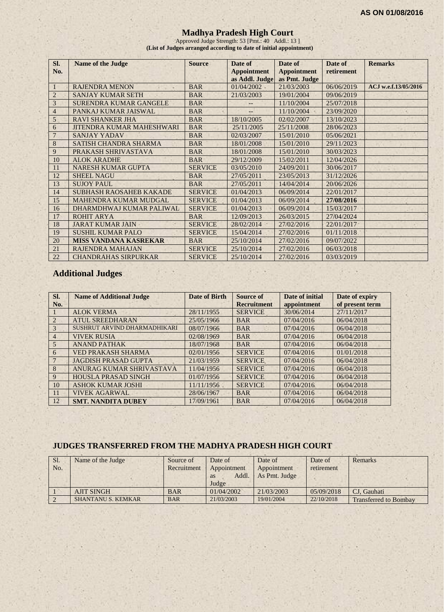### **Madhya Pradesh High Court**

Approved Judge Strength: 53 [Pmt.: 40 Addl.: 13 ] **(List of Judges arranged according to date of initial appointment)**

| Sl.            | <b>Name of the Judge</b>         | <b>Source</b>  | Date of                              | Date of                             | Date of    | <b>Remarks</b>       |
|----------------|----------------------------------|----------------|--------------------------------------|-------------------------------------|------------|----------------------|
| No.            |                                  |                | <b>Appointment</b><br>as Addl. Judge | <b>Appointment</b><br>as Pmt. Judge | retirement |                      |
|                | <b>RAJENDRA MENON</b>            | <b>BAR</b>     | 01/04/2002                           | 21/03/2003                          | 06/06/2019 | ACJ w.e.f.13/05/2016 |
| $\overline{2}$ | <b>SANJAY KUMAR SETH</b>         | <b>BAR</b>     | 21/03/2003                           | 19/01/2004                          | 09/06/2019 |                      |
| 3              | <b>SURENDRA KUMAR GANGELE</b>    | <b>BAR</b>     |                                      | 11/10/2004                          | 25/07/2018 |                      |
| $\overline{4}$ | PANKAJ KUMAR JAISWAL             | <b>BAR</b>     |                                      | 11/10/2004                          | 23/09/2020 |                      |
| 5              | <b>RAVI SHANKER JHA</b>          | <b>BAR</b>     | 18/10/2005                           | 02/02/2007                          | 13/10/2023 |                      |
| 6              | <b>JITENDRA KUMAR MAHESHWARI</b> | <b>BAR</b>     | 25/11/2005                           | 25/11/2008                          | 28/06/2023 |                      |
|                | <b>SANJAY YADAV</b>              | <b>BAR</b>     | 02/03/2007                           | 15/01/2010                          | 05/06/2021 |                      |
| 8              | <b>SATISH CHANDRA SHARMA</b>     | <b>BAR</b>     | 18/01/2008                           | 15/01/2010                          | 29/11/2023 |                      |
| 9              | PRAKASH SHRIVASTAVA              | <b>BAR</b>     | 18/01/2008                           | 15/01/2010                          | 30/03/2023 |                      |
| 10             | <b>ALOK ARADHE</b>               | <b>BAR</b>     | 29/12/2009                           | 15/02/2011                          | 12/04/2026 |                      |
| 11             | <b>NARESH KUMAR GUPTA</b>        | <b>SERVICE</b> | 03/05/2010                           | 24/09/2011                          | 30/06/2017 |                      |
| 12             | <b>SHEEL NAGU</b>                | <b>BAR</b>     | 27/05/2011                           | 23/05/2013                          | 31/12/2026 |                      |
| 13             | <b>SUJOY PAUL</b>                | <b>BAR</b>     | 27/05/2011                           | 14/04/2014                          | 20/06/2026 |                      |
| 14             | <b>SUBHASH RAOSAHEB KAKADE</b>   | <b>SERVICE</b> | 01/04/2013                           | 06/09/2014                          | 22/01/2017 |                      |
| 15             | <b>MAHENDRA KUMAR MUDGAL</b>     | <b>SERVICE</b> | 01/04/2013                           | 06/09/2014                          | 27/08/2016 |                      |
| 16             | DHARMDHWAJ KUMAR PALIWAL         | <b>SERVICE</b> | 01/04/2013                           | 06/09/2014                          | 15/03/2017 |                      |
| 17             | <b>ROHIT ARYA</b>                | <b>BAR</b>     | 12/09/2013                           | 26/03/2015                          | 27/04/2024 |                      |
| 18             | <b>JARAT KUMAR JAIN</b>          | <b>SERVICE</b> | 28/02/2014                           | 27/02/2016                          | 22/01/2017 |                      |
| 19             | <b>SUSHIL KUMAR PALO</b>         | <b>SERVICE</b> | 15/04/2014                           | 27/02/2016                          | 01/11/2018 |                      |
| 20             | <b>MISS VANDANA KASREKAR</b>     | <b>BAR</b>     | 25/10/2014                           | 27/02/2016                          | 09/07/2022 |                      |
| 21             | RAJENDRA MAHAJAN                 | <b>SERVICE</b> | 25/10/2014                           | 27/02/2016                          | 06/03/2018 |                      |
| 22             | <b>CHANDRAHAS SIRPURKAR</b>      | <b>SERVICE</b> | 25/10/2014                           | 27/02/2016                          | 03/03/2019 |                      |

## **Additional Judges**

| SI. | <b>Name of Additional Judge</b> | Date of Birth | Source of          | Date of initial | Date of expiry  |
|-----|---------------------------------|---------------|--------------------|-----------------|-----------------|
| No. |                                 |               | <b>Recruitment</b> | appointment     | of present term |
|     | <b>ALOK VERMA</b>               | 28/11/1955    | <b>SERVICE</b>     | 30/06/2014      | 27/11/2017      |
| 2   | <b>ATUL SREEDHARAN</b>          | 25/05/1966    | <b>BAR</b>         | 07/04/2016      | 06/04/2018      |
| 3   | SUSHRUT ARVIND DHARMADHIKARI    | 08/07/1966    | <b>BAR</b>         | 07/04/2016      | 06/04/2018      |
| 4   | <b>VIVEK RUSIA</b>              | 02/08/1969    | <b>BAR</b>         | 07/04/2016      | 06/04/2018      |
| 5   | <b>ANAND PATHAK</b>             | 18/07/1968    | <b>BAR</b>         | 07/04/2016      | 06/04/2018      |
| 6   | <b>VED PRAKASH SHARMA</b>       | 02/01/1956    | <b>SERVICE</b>     | 07/04/2016      | 01/01/2018      |
|     | <b>JAGDISH PRASAD GUPTA</b>     | 21/03/1959    | <b>SERVICE</b>     | 07/04/2016      | 06/04/2018      |
| 8   | ANURAG KUMAR SHRIVASTAVA        | 11/04/1956    | <b>SERVICE</b>     | 07/04/2016      | 06/04/2018      |
| 9   | <b>HOUSLA PRASAD SINGH</b>      | 01/07/1956    | <b>SERVICE</b>     | 07/04/2016      | 06/04/2018      |
| 10  | <b>ASHOK KUMAR JOSHI</b>        | 11/11/1956    | <b>SERVICE</b>     | 07/04/2016      | 06/04/2018      |
| 11  | <b>VIVEK AGARWAL</b>            | 28/06/1967    | <b>BAR</b>         | 07/04/2016      | 06/04/2018      |
| 12  | <b>SMT. NANDITA DUBEY</b>       | 17/09/1961    | <b>BAR</b>         | 07/04/2016      | 06/04/2018      |

#### **JUDGES TRANSFERRED FROM THE MADHYA PRADESH HIGH COURT**

| Sl. | Name of the Judge         | Source of   | Date of     | Date of       | Date of    | <b>Remarks</b>               |
|-----|---------------------------|-------------|-------------|---------------|------------|------------------------------|
| No. |                           | Recruitment | Appointment | Appointment   | retirement |                              |
|     |                           |             | Addl.<br>as | As Pmt. Judge |            |                              |
|     |                           |             | Judge       |               |            |                              |
|     | <b>AJIT SINGH</b>         | <b>BAR</b>  | 01/04/2002  | 21/03/2003    | 05/09/2018 | CJ. Gauhati                  |
|     | <b>SHANTANU S. KEMKAR</b> | <b>BAR</b>  | 21/03/2003  | 19/01/2004    | 22/10/2018 | <b>Transferred to Bombay</b> |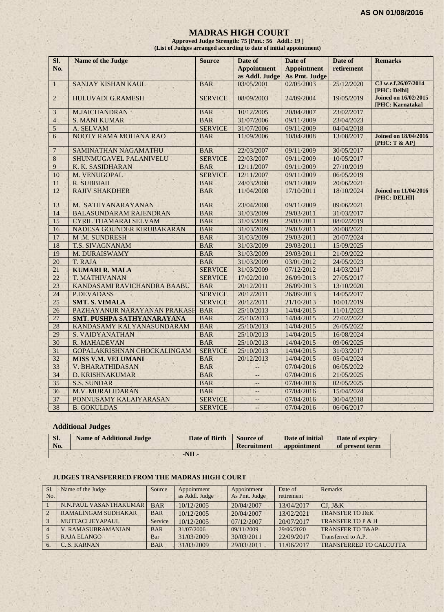#### **MADRAS HIGH COURT**

**Approved Judge Strength: 75 [Pmt.: 56 Addl.: 19 ] (List of Judges arranged according to date of initial appointment)**

| SI.<br>No.      | Name of the Judge                 | <b>Source</b>          | Date of<br><b>Appointment</b><br>as Addl. Judge | Date of<br><b>Appointment</b><br>As Pmt. Judge | Date of<br>retirement | <b>Remarks</b>                                  |
|-----------------|-----------------------------------|------------------------|-------------------------------------------------|------------------------------------------------|-----------------------|-------------------------------------------------|
| $\mathbf{1}$    | <b>SANJAY KISHAN KAUL</b>         | <b>BAR</b>             | 03/05/2001                                      | 02/05/2003                                     | 25/12/2020            | CJ w.e.f.26/07/2014<br>[PHC: Delhi]             |
| $\overline{2}$  | <b>HULUVADI G.RAMESH</b>          | <b>SERVICE</b>         | 08/09/2003                                      | 24/09/2004                                     | 19/05/2019            | <b>Joined on 16/02/2015</b><br>[PHC: Karnataka] |
| $\overline{3}$  | <b>M.JAICHANDRAN</b>              | <b>BAR</b><br>$\alpha$ | 10/12/2005                                      | 20/04/2007                                     | 23/02/2017            |                                                 |
| $\overline{4}$  | <b>S. MANI KUMAR</b>              | <b>BAR</b>             | 31/07/2006                                      | 09/11/2009                                     | 23/04/2023            |                                                 |
| 5               | A. SELVAM                         | <b>SERVICE</b>         | 31/07/2006                                      | 09/11/2009                                     | 04/04/2018            |                                                 |
| 6               | NOOTY RAMA MOHANA RAO             | <b>BAR</b>             | 11/09/2006                                      | 10/04/2008                                     | 13/08/2017            | <b>Joined on 18/04/2016</b><br>[PHC: T & AP]    |
| $7\phantom{.0}$ | SAMINATHAN NAGAMATHU              | <b>BAR</b>             | 22/03/2007                                      | 09/11/2009                                     | 30/05/2017            |                                                 |
| 8               | SHUNMUGAVEL PALANIVELU            | <b>SERVICE</b>         | 22/03/2007                                      | 09/11/2009                                     | 10/05/2017            |                                                 |
| 9               | K. K. SASIDHARAN                  | <b>BAR</b>             | 12/11/2007                                      | 09/11/2009                                     | 27/10/2019            |                                                 |
| 10              | M. VENUGOPAL                      | <b>SERVICE</b>         | 12/11/2007                                      | 09/11/2009                                     | 06/05/2019            |                                                 |
| 11              | R. SUBBIAH                        | <b>BAR</b>             | 24/03/2008                                      | 09/11/2009                                     | 20/06/2021            |                                                 |
| 12              | <b>RAJIV SHAKDHER</b>             | <b>BAR</b>             | 11/04/2008                                      | 17/10/2011                                     | 18/10/2024            | <b>Joined on 11/04/2016</b><br>[PHC: DELHI]     |
| 13              | M. SATHYANARAYANAN                | <b>BAR</b>             | 23/04/2008                                      | 09/11/2009                                     | 09/06/2021            |                                                 |
| 14              | <b>BALASUNDARAM RAJENDRAN</b>     | <b>BAR</b>             | 31/03/2009                                      | 29/03/2011                                     | 31/03/2017            |                                                 |
| 15              | <b>CYRIL THAMARAI SELVAM</b>      | <b>BAR</b>             | 31/03/2009                                      | 29/03/2011                                     | 08/02/2019            |                                                 |
| 16              | NADESA GOUNDER KIRUBAKARAN        | <b>BAR</b>             | 31/03/2009                                      | 29/03/2011                                     | 20/08/2021            |                                                 |
| 17              | M.M. SUNDRESH                     | <b>BAR</b>             | 31/03/2009                                      | 29/03/2011                                     | 20/07/2024            |                                                 |
| 18              | T.S. SIVAGNANAM                   | <b>BAR</b>             | 31/03/2009                                      | 29/03/2011                                     | 15/09/2025            |                                                 |
| 19              | M. DURAISWAMY                     | <b>BAR</b>             | 31/03/2009                                      | 29/03/2011                                     | 21/09/2022            |                                                 |
| 20              | T. RAJA                           | <b>BAR</b>             | 31/03/2009                                      | 03/01/2012                                     | 24/05/2023            |                                                 |
| 21              | <b>KUMARI R. MALA</b>             | <b>SERVICE</b>         | 31/03/2009                                      | 07/12/2012                                     | 14/03/2017            |                                                 |
| $\overline{22}$ | T. MATHIVANAN                     | <b>SERVICE</b>         | 17/02/2010                                      | 26/09/2013                                     | 27/05/2017            |                                                 |
| 23              | KANDASAMI RAVICHANDRA BAABU       | <b>BAR</b>             | 20/12/2011                                      | 26/09/2013                                     | 13/10/2020            |                                                 |
| 24              | <b>P.DEVADASS</b>                 | <b>SERVICE</b>         | 20/12/2011                                      | 26/09/2013                                     | 14/05/2017            |                                                 |
| 25              | <b>SMT. S. VIMALA</b>             | <b>SERVICE</b>         | 20/12/2011                                      | 21/10/2013                                     | 10/01/2019            |                                                 |
| 26              | PAZHAYANUR NARAYANAN PRAKASH      | <b>BAR</b>             | 25/10/2013                                      | 14/04/2015                                     | 11/01/2023            |                                                 |
| 27              | <b>SMT. PUSHPA SATHYANARAYANA</b> | <b>BAR</b>             | 25/10/2013                                      | 14/04/2015                                     | 27/02/2022            |                                                 |
| 28              | KANDASAMY KALYANASUNDARAM         | <b>BAR</b>             | 25/10/2013                                      | 14/04/2015                                     | 26/05/2022            |                                                 |
| 29              | S. VAIDYANATHAN                   | <b>BAR</b>             | 25/10/2013                                      | 14/04/2015                                     | 16/08/2024            |                                                 |
| $\overline{30}$ | R. MAHADEVAN                      | <b>BAR</b>             | 25/10/2013                                      | 14/04/2015                                     | 09/06/2025            |                                                 |
| 31              | GOPALAKRISHNAN CHOCKALINGAM       | <b>SERVICE</b>         | 25/10/2013                                      | 14/04/2015                                     | 31/03/2017            |                                                 |
| 32              | <b>MISS V.M. VELUMANI</b>         | <b>BAR</b>             | 20/12/2013                                      | 14/04/2015                                     | 05/04/2024            |                                                 |
| $\overline{33}$ | <b>V. BHARATHIDASAN</b>           | <b>BAR</b>             | ÷                                               | 07/04/2016                                     | 06/05/2022            |                                                 |
| 34              | <b>D. KRISHNAKUMAR</b>            | <b>BAR</b>             | $\overline{\phantom{a}}$                        | 07/04/2016                                     | 21/05/2025            |                                                 |
| 35              | <b>S.S. SUNDAR</b>                | <b>BAR</b>             | $- -$                                           | 07/04/2016                                     | 02/05/2025            |                                                 |
| 36              | M.V. MURALIDARAN                  | <b>BAR</b>             | $\qquad \qquad -$                               | 07/04/2016                                     | 15/04/2024            |                                                 |
| 37              | PONNUSAMY KALAIYARASAN            | <b>SERVICE</b>         | $\overline{\phantom{a}}$                        | 07/04/2016                                     | 30/04/2018            |                                                 |
| 38              | <b>B. GOKULDAS</b>                | <b>SERVICE</b>         | $\frac{1}{2}$ . We                              | 07/04/2016                                     | 06/06/2017            |                                                 |

## **Additional Judges**

| SI.<br>No. | <b>Name of Additional Judge</b> | Date of Birth | Source of<br>Recruitment | Date of initial<br><b>appointment</b> | Date of expiry<br>of present term |
|------------|---------------------------------|---------------|--------------------------|---------------------------------------|-----------------------------------|
|            |                                 | -NIL-         |                          |                                       |                                   |

## **JUDGES TRANSFERRED FROM THE MADRAS HIGH COURT**

| S1.            | Name of the Judge          | Source     | Appointment    | Appointment   | Date of    | Remarks                        |
|----------------|----------------------------|------------|----------------|---------------|------------|--------------------------------|
| No.            |                            |            | as Addl. Judge | As Pmt. Judge | retirement |                                |
|                | N.N.PAUL VASANTHAKUMAR     | <b>BAR</b> | 10/12/2005     | 20/04/2007    | 13/04/2017 | $CJ.$ $J&K$                    |
| $\overline{2}$ | <b>RAMALINGAM SUDHAKAR</b> | <b>BAR</b> | 10/12/2005     | 20/04/2007    | 13/02/2021 | <b>TRANSFER TO J&amp;K</b>     |
| $\mathcal{R}$  | MUTTACLIEYAPAUL            | Service    | 10/12/2005     | 07/12/2007    | 20/07/2017 | TRANSFER TO P & H              |
|                | V. RAMASUBRAMANIAN         | <b>BAR</b> | 31/07/2006     | 09/11/2009    | 29/06/2020 | <b>TRANSFER TO T&amp;AP</b>    |
|                | RAJA ELANGO                | Bar        | 31/03/2009     | 30/03/2011    | 22/09/2017 | Transferred to A.P.            |
| 6.             | C. S. KARNAN               | <b>BAR</b> | 31/03/2009     | 29/03/2011    | 11/06/2017 | <b>TRANSFERRED TO CALCUTTA</b> |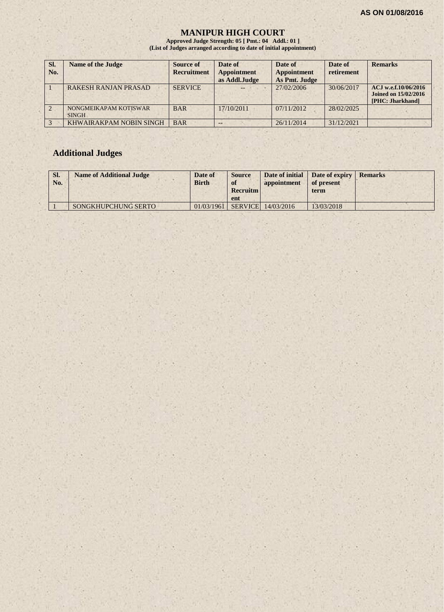### **MANIPUR HIGH COURT**

**Approved Judge Strength: 05 [ Pmt.: 04 Addl.: 01 ] (List of Judges arranged according to date of initial appointment)**

| SI.<br>No. | <b>Name of the Judge</b>              | <b>Source of</b><br><b>Recruitment</b> | Date of<br><b>Appointment</b><br>as Addl.Judge | Date of<br><b>Appointment</b><br>As Pmt. Judge | Date of<br>retirement | <b>Remarks</b>                                                          |
|------------|---------------------------------------|----------------------------------------|------------------------------------------------|------------------------------------------------|-----------------------|-------------------------------------------------------------------------|
|            | <b>RAKESH RANJAN PRASAD</b>           | <b>SERVICE</b>                         |                                                | 27/02/2006                                     | 30/06/2017            | ACJ w.e.f.10/06/2016<br><b>Joined on 15/02/2016</b><br>[PHC: Jharkhand] |
|            | NONGMEIKAPAM KOTISWAR<br><b>SINGH</b> | <b>BAR</b>                             | 17/10/2011                                     | 07/11/2012                                     | 28/02/2025            |                                                                         |
|            | KHWAIRAKPAM NOBIN SINGH               | <b>BAR</b>                             | $- -$                                          | 26/11/2014                                     | 31/12/2021            |                                                                         |

# **Additional Judges**

| SI.<br>No. | <b>Name of Additional Judge</b> | Date of<br><b>Birth</b> | <b>Source</b><br>of<br><b>Recruitm</b><br>ent | Date of initial<br>appointment | Date of expiry<br>of present<br>term | <b>Remarks</b> |
|------------|---------------------------------|-------------------------|-----------------------------------------------|--------------------------------|--------------------------------------|----------------|
|            | SONGKHUPCHUNG SERTO             | 01/03/1961              |                                               | <b>SERVICE</b> 14/03/2016      | 13/03/2018                           |                |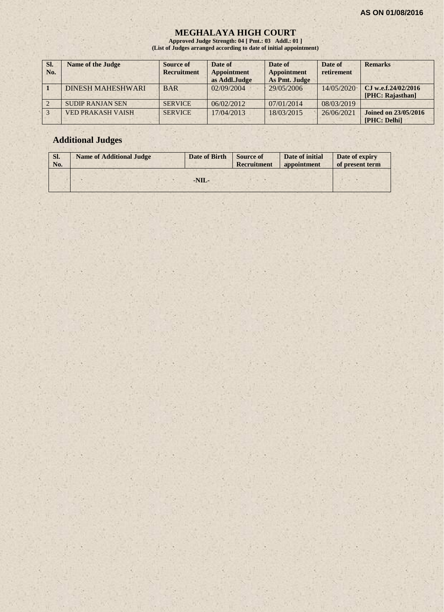#### **MEGHALAYA HIGH COURT**

**Approved Judge Strength: 04 [ Pmt.: 03 Addl.: 01 ] (List of Judges arranged according to date of initial appointment)**

| SI.<br>No. | <b>Name of the Judge</b> | Source of<br><b>Recruitment</b> | Date of<br><b>Appointment</b><br>as Addl.Judge | Date of<br><b>Appointment</b><br>As Pmt. Judge | Date of<br>retirement | <b>Remarks</b>                              |
|------------|--------------------------|---------------------------------|------------------------------------------------|------------------------------------------------|-----------------------|---------------------------------------------|
|            | <b>DINESH MAHESHWARI</b> | <b>BAR</b>                      | 02/09/2004                                     | 29/05/2006                                     | 14/05/2020            | CJ w.e.f.24/02/2016<br>[PHC: Rajasthan]     |
|            | <b>SUDIP RANJAN SEN</b>  | <b>SERVICE</b>                  | 06/02/2012                                     | 07/01/2014                                     | 08/03/2019            |                                             |
|            | <b>VED PRAKASH VAISH</b> | <b>SERVICE</b>                  | 17/04/2013                                     | 18/03/2015                                     | 26/06/2021            | <b>Joined on 23/05/2016</b><br>[PHC: Delhi] |

# **Additional Judges**

| SI.<br>No. | <b>Name of Additional Judge</b> | Date of Birth | <b>Source of</b><br>Recruitment | Date of initial<br>appointment | Date of expiry<br>of present term |
|------------|---------------------------------|---------------|---------------------------------|--------------------------------|-----------------------------------|
|            |                                 |               |                                 |                                |                                   |
|            |                                 | $-NIL-$       |                                 |                                |                                   |
|            |                                 |               |                                 |                                |                                   |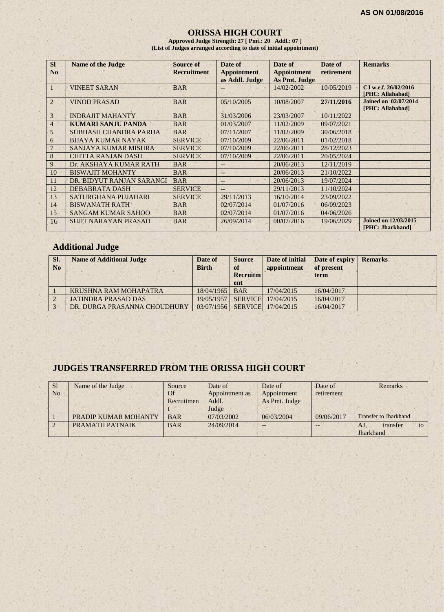#### **ORISSA HIGH COURT**

**Approved Judge Strength: 27 [ Pmt.: 20 Addl.: 07 ] (List of Judges arranged according to date of initial appointment)**

| <b>SI</b><br>N <sub>0</sub> | <b>Name of the Judge</b>      | <b>Source of</b><br><b>Recruitment</b> | Date of<br><b>Appointment</b> | Date of<br><b>Appointment</b> | Date of<br>retirement | <b>Remarks</b>                                  |
|-----------------------------|-------------------------------|----------------------------------------|-------------------------------|-------------------------------|-----------------------|-------------------------------------------------|
|                             |                               |                                        | as Addl. Judge                | As Pmt. Judge                 |                       |                                                 |
|                             | <b>VINEET SARAN</b>           | <b>BAR</b>                             | --                            | 14/02/2002                    | 10/05/2019            | CJ w.e.f. 26/02/2016<br>[PHC: Allahabad]        |
| $\overline{2}$              | <b>VINOD PRASAD</b>           | <b>BAR</b>                             | 05/10/2005                    | 10/08/2007                    | 27/11/2016            | <b>Joined on 02/07/2014</b><br>[PHC: Allahabad] |
| 3                           | <b>INDRAJIT MAHANTY</b>       | <b>BAR</b>                             | 31/03/2006                    | 23/03/2007                    | 10/11/2022            |                                                 |
| 4                           | <b>KUMARI SANJU PANDA</b>     | <b>BAR</b>                             | 01/03/2007                    | 11/02/2009                    | 09/07/2021            |                                                 |
| 5                           | <b>SUBHASH CHANDRA PARIJA</b> | <b>BAR</b>                             | 07/11/2007                    | 11/02/2009                    | 30/06/2018            |                                                 |
| 6                           | <b>BIJAYA KUMAR NAYAK</b>     | <b>SERVICE</b>                         | 07/10/2009                    | 22/06/2011                    | 01/02/2018            |                                                 |
|                             | SANJAYA KUMAR MISHRA          | <b>SERVICE</b>                         | 07/10/2009                    | 22/06/2011                    | 28/12/2023            |                                                 |
| 8                           | <b>CHITTA RANJAN DASH</b>     | <b>SERVICE</b>                         | 07/10/2009                    | 22/06/2011                    | 20/05/2024            |                                                 |
| 9                           | Dr. AKSHAYA KUMAR RATH        | <b>BAR</b>                             | $- -$                         | 20/06/2013                    | 12/11/2019            |                                                 |
| 10                          | <b>BISWAJIT MOHANTY</b>       | <b>BAR</b>                             | --                            | 20/06/2013                    | 21/10/2022            |                                                 |
| 11                          | DR. BIDYUT RANJAN SARANGI     | <b>BAR</b>                             | $\qquad \qquad -$             | 20/06/2013                    | 19/07/2024            |                                                 |
| 12                          | <b>DEBABRATA DASH</b>         | <b>SERVICE</b>                         | A.                            | 29/11/2013                    | 11/10/2024            |                                                 |
| 13                          | <b>SATURGHANA PUJAHARI</b>    | <b>SERVICE</b>                         | 29/11/2013                    | 16/10/2014                    | 23/09/2022            |                                                 |
| 14                          | <b>BISWANATH RATH</b>         | <b>BAR</b>                             | 02/07/2014                    | 01/07/2016                    | 06/09/2023            |                                                 |
| 15                          | <b>SANGAM KUMAR SAHOO</b>     | <b>BAR</b>                             | 02/07/2014                    | 01/07/2016                    | 04/06/2026            |                                                 |
| 16                          | <b>SUJIT NARAYAN PRASAD</b>   | <b>BAR</b>                             | 26/09/2014                    | 00/07/2016                    | 19/06/2029            | <b>Joined on 12/03/2015</b><br>[PHC: Jharkhand] |

## **Additional Judge**

| SI.<br>N <sub>0</sub> | <b>Name of Additional Judge</b> | Date of<br><b>Birth</b> | <b>Source</b><br><b>of</b><br><b>Recruitm</b><br>ent | Date of initial<br>appointment | Date of expiry<br>of present<br>term | <b>Remarks</b> |
|-----------------------|---------------------------------|-------------------------|------------------------------------------------------|--------------------------------|--------------------------------------|----------------|
|                       | KRUSHNA RAM MOHAPATRA           | 18/04/1965              | <b>BAR</b>                                           | 17/04/2015                     | 16/04/2017                           |                |
|                       | <b>JATINDRA PRASAD DAS</b>      | 19/05/1957              |                                                      | SERVICE 17/04/2015             | 16/04/2017                           |                |
|                       | DR. DURGA PRASANNA CHOUDHURY    | 03/07/1956              |                                                      | SERVICE 17/04/2015             | 16/04/2017                           |                |

# **JUDGES TRANSFERRED FROM THE ORISSA HIGH COURT**

| <sub>S1</sub>  | Name of the Judge    | Source     | Date of                | Date of     | Date of    | <b>Remarks</b>               |
|----------------|----------------------|------------|------------------------|-------------|------------|------------------------------|
| N <sub>0</sub> |                      | <b>Of</b>  | Appointment as         | Appointment | retirement |                              |
|                |                      | Recruitmen | As Pmt. Judge<br>Addl. |             |            |                              |
|                |                      |            | Judge                  |             |            |                              |
|                | PRADIP KUMAR MOHANTY | <b>BAR</b> | 07/03/2002             | 06/03/2004  | 09/06/2017 | <b>Transfer to Jharkhand</b> |
|                | PRAMATH PATNAIK      | <b>BAR</b> | 24/09/2014             | --          |            | transfer<br>AJ<br>to         |
|                |                      |            |                        |             |            | Jharkhand                    |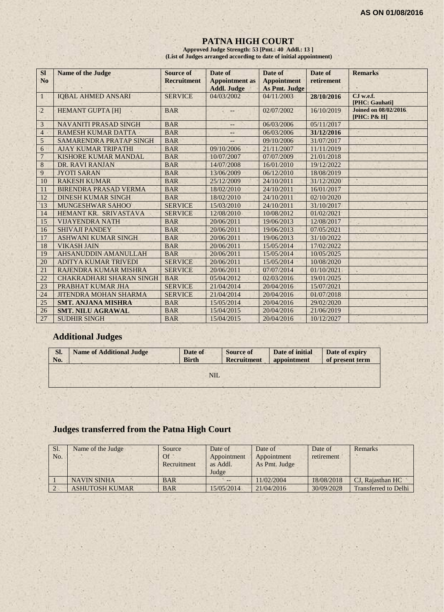## **PATNA HIGH COURT**

**Approved Judge Strength: 53 [Pmt.: 40 Addl.: 13 ] (List of Judges arranged according to date of initial appointment)**

| <b>SI</b>      | <b>Name of the Judge</b>        | Source of          | Date of                                     | Date of                                    | Date of    | <b>Remarks</b>                             |
|----------------|---------------------------------|--------------------|---------------------------------------------|--------------------------------------------|------------|--------------------------------------------|
| N <sub>0</sub> |                                 | <b>Recruitment</b> | <b>Appointment</b> as<br><b>Addl. Judge</b> | <b>Appointment</b><br><b>As Pmt. Judge</b> | retirement |                                            |
| $\mathbf{1}$   | <b>IQBAL AHMED ANSARI</b>       | <b>SERVICE</b>     | 04/03/2002                                  | 04/11/2003                                 | 28/10/2016 | CJ w.e.f.                                  |
|                |                                 |                    |                                             |                                            |            | [PHC: Gauhati]                             |
| $\overline{2}$ | <b>HEMANT GUPTA [H]</b>         | <b>BAR</b>         |                                             | 02/07/2002                                 | 16/10/2019 | <b>Joined on 08/02/2016</b><br>[PHC: P& H] |
| 3              | <b>NAVANITI PRASAD SINGH</b>    | <b>BAR</b>         | --                                          | 06/03/2006                                 | 05/11/2017 |                                            |
| $\overline{4}$ | <b>RAMESH KUMAR DATTA</b>       | <b>BAR</b>         | $-1$                                        | 06/03/2006                                 | 31/12/2016 |                                            |
| 5              | SAMARENDRA PRATAP SINGH         | <b>BAR</b>         |                                             | 09/10/2006                                 | 31/07/2017 |                                            |
| 6              | <b>AJAY KUMAR TRIPATHI</b>      | <b>BAR</b>         | 09/10/2006                                  | 21/11/2007                                 | 11/11/2019 |                                            |
| $\overline{7}$ | <b>KISHORE KUMAR MANDAL</b>     | <b>BAR</b>         | 10/07/2007                                  | 07/07/2009                                 | 21/01/2018 |                                            |
| $\,8\,$        | DR. RAVI RANJAN                 | <b>BAR</b>         | 14/07/2008                                  | 16/01/2010                                 | 19/12/2022 |                                            |
| 9              | <b>JYOTI SARAN</b>              | <b>BAR</b>         | 13/06/2009                                  | 06/12/2010                                 | 18/08/2019 |                                            |
| 10             | <b>RAKESH KUMAR</b>             | <b>BAR</b>         | 25/12/2009                                  | 24/10/2011                                 | 31/12/2020 | ×                                          |
| 11             | <b>BIRENDRA PRASAD VERMA</b>    | <b>BAR</b>         | 18/02/2010                                  | 24/10/2011                                 | 16/01/2017 |                                            |
| 12             | <b>DINESH KUMAR SINGH</b>       | <b>BAR</b>         | 18/02/2010                                  | 24/10/2011                                 | 02/10/2020 |                                            |
| 13             | <b>MUNGESHWAR SAHOO</b>         | <b>SERVICE</b>     | 15/03/2010                                  | 24/10/2011                                 | 31/10/2017 |                                            |
| 14             | HEMANT KR. SRIVASTAVA           | <b>SERVICE</b>     | 12/08/2010                                  | 10/08/2012                                 | 01/02/2021 |                                            |
| 15             | <b>VIJAYENDRA NATH</b>          | <b>BAR</b>         | 20/06/2011                                  | 19/06/2013                                 | 12/08/2017 |                                            |
| 16             | <b>SHIVAJI PANDEY</b>           | <b>BAR</b>         | 20/06/2011                                  | 19/06/2013                                 | 07/05/2021 |                                            |
| 17             | <b>ASHWANI KUMAR SINGH</b>      | <b>BAR</b>         | 20/06/2011                                  | 19/06/2013                                 | 31/10/2022 |                                            |
| 18             | <b>VIKASH JAIN</b>              | <b>BAR</b>         | 20/06/2011                                  | 15/05/2014                                 | 17/02/2022 |                                            |
| 19             | <b>AHSANUDDIN AMANULLAH</b>     | <b>BAR</b>         | 20/06/2011                                  | 15/05/2014                                 | 10/05/2025 |                                            |
| 20             | ADITYA KUMAR TRIVEDI            | <b>SERVICE</b>     | 20/06/2011                                  | 15/05/2014                                 | 10/08/2020 |                                            |
| 21             | RAJENDRA KUMAR MISHRA           | <b>SERVICE</b>     | 20/06/2011                                  | 07/07/2014                                 | 01/10/2021 |                                            |
| 22             | <b>CHAKRADHARI SHARAN SINGH</b> | <b>BAR</b>         | 05/04/2012                                  | 02/03/2016                                 | 19/01/2025 |                                            |
| 23             | PRABHAT KUMAR JHA               | <b>SERVICE</b>     | 21/04/2014                                  | 20/04/2016                                 | 15/07/2021 |                                            |
| 24             | <b>JITENDRA MOHAN SHARMA</b>    | <b>SERVICE</b>     | 21/04/2014                                  | 20/04/2016                                 | 01/07/2018 |                                            |
| 25             | <b>SMT. ANJANA MISHRA</b>       | <b>BAR</b>         | 15/05/2014                                  | 20/04/2016                                 | 29/02/2020 |                                            |
| 26             | <b>SMT. NILU AGRAWAL</b>        | <b>BAR</b>         | 15/04/2015                                  | 20/04/2016                                 | 21/06/2019 |                                            |
| 27             | <b>SUDHIR SINGH</b>             | <b>BAR</b>         | 15/04/2015                                  | 20/04/2016                                 | 10/12/2027 |                                            |

# **Additional Judges**

| Sl. | <b>Name of Additional Judge</b> | Date of      | <b>Source of</b>   | Date of initial | Date of expiry  |
|-----|---------------------------------|--------------|--------------------|-----------------|-----------------|
| No. |                                 | <b>Birth</b> | <b>Recruitment</b> | appointment     | of present term |
|     |                                 | NIL          |                    |                 |                 |

# **Judges transferred from the Patna High Court**

| Sl.<br>No. | Name of the Judge     | Source<br><b>Of</b><br>Recruitment | Date of<br>Appointment<br>as Addl.<br>Judge | Date of<br>Appointment<br>As Pmt. Judge | Date of<br>retirement | Remarks                     |
|------------|-----------------------|------------------------------------|---------------------------------------------|-----------------------------------------|-----------------------|-----------------------------|
|            | <b>NAVIN SINHA</b>    | <b>BAR</b>                         |                                             | 11/02/2004                              | 18/08/2018            | CJ, Rajasthan HC            |
|            | <b>ASHUTOSH KUMAR</b> | <b>BAR</b>                         | 15/05/2014                                  | 21/04/2016                              | 30/09/2028            | <b>Transferred to Delhi</b> |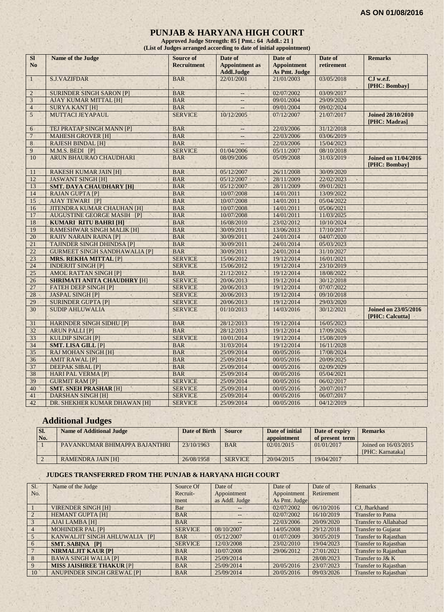#### **PUNJAB & HARYANA HIGH COURT**

**Approved Judge Strength: 85 [ Pmt.: 64 Addl.: 21 ] (List of Judges arranged according to date of initial appointment)**

| <b>SI</b>      | Name of the Judge                    | Source of          | Date of                                    | Date of                             | Date of    | <b>Remarks</b>                                 |
|----------------|--------------------------------------|--------------------|--------------------------------------------|-------------------------------------|------------|------------------------------------------------|
| N <sub>o</sub> |                                      | <b>Recruitment</b> | <b>Appointment as</b><br><b>Addl.Judge</b> | <b>Appointment</b><br>As Pmt. Judge | retirement |                                                |
| $\mathbf{1}$   | <b>S.J.VAZIFDAR</b>                  | <b>BAR</b>         | 22/01/2001                                 | 21/01/2003                          | 03/05/2018 | CJ w.e.f.<br>[PHC: Bombay]                     |
| $\overline{2}$ | <b>SURINDER SINGH SARON [P]</b>      | <b>BAR</b>         |                                            | 02/07/2002                          | 03/09/2017 |                                                |
| $\mathbf{3}$   | <b>AJAY KUMAR MITTAL [H]</b>         | <b>BAR</b>         |                                            | 09/01/2004                          | 29/09/2020 |                                                |
| $\overline{4}$ | <b>SURYA KANT [H]</b>                | <b>BAR</b>         |                                            | 09/01/2004                          | 09/02/2024 |                                                |
| 5              | MUTTACI JEYAPAUL                     | <b>SERVICE</b>     | 10/12/2005                                 | 07/12/2007                          | 21/07/2017 | <b>Joined 28/10/2010</b><br>[PHC: Madras]      |
| 6              | TEJ PRATAP SINGH MANN [P]            | <b>BAR</b>         | $\overline{\phantom{a}}$                   | 22/03/2006                          | 31/12/2018 |                                                |
| $\sqrt{ }$     | <b>MAHESH GROVER [H]</b>             | <b>BAR</b>         |                                            | 22/03/2006                          | 03/06/2019 |                                                |
| $\,8\,$        | <b>RAJESH BINDAL [H]</b>             | <b>BAR</b>         |                                            | 22/03/2006                          | 15/04/2023 |                                                |
| 9              | M.M.S. BEDI [P]                      | <b>SERVICE</b>     | 01/04/2006                                 | 05/11/2007                          | 08/10/2018 |                                                |
| 10             | ARUN BHAURAO CHAUDHARI               | <b>BAR</b>         | 08/09/2006                                 | 05/09/2008                          | 31/03/2019 | <b>Joined on 11/04/2016</b><br>[PHC: Bombay]   |
| 11             | <b>RAKESH KUMAR JAIN [H]</b>         | <b>BAR</b>         | 05/12/2007                                 | 26/11/2008                          | 30/09/2020 |                                                |
| 12             | <b>JASWANT SINGH [H]</b>             | <b>BAR</b>         | 05/12/2007                                 | 28/11/2009                          | 22/02/2023 |                                                |
| 13             | <b>SMT. DAYA CHAUDHARY [H]</b>       | <b>BAR</b>         | 05/12/2007                                 | 28/11/2009                          | 09/01/2021 |                                                |
| 14             | <b>RAJAN GUPTA [P]</b>               | <b>BAR</b>         | 10/07/2008                                 | 14/01/2011                          | 13/09/2022 |                                                |
| 15             | <b>AJAY TEWARI [P]</b>               | <b>BAR</b>         | 10/07/2008                                 | 14/01/2011                          | 05/04/2022 |                                                |
| 16             | <b>JITENDRA KUMAR CHAUHAN [H]</b>    | <b>BAR</b>         | 10/07/2008                                 | 14/01/2011                          | 05/06/2021 |                                                |
| 17             | <b>AUGUSTINE GEORGE MASIH [P]</b>    | <b>BAR</b>         | 10/07/2008                                 | 14/01/2011                          | 11/03/2025 |                                                |
| 18             | <b>KUMARI RITU BAHRI [H]</b>         | <b>BAR</b>         | 16/08/2010                                 | 23/02/2012                          | 10/10/2024 |                                                |
| 19             | <b>RAMESHWAR SINGH MALIK [H]</b>     | <b>BAR</b>         | 30/09/2011                                 | 13/06/2013                          | 17/10/2017 |                                                |
| 20             | <b>RAJIV NARAIN RAINA [P]</b>        | <b>BAR</b>         | 30/09/2011                                 | 24/01/2014                          | 04/07/2020 |                                                |
| 21             | <b>TAJINDER SINGH DHINDSA [P]</b>    | <b>BAR</b>         | 30/09/2011                                 | 24/01/2014                          | 05/03/2023 |                                                |
| 22             | <b>GURMEET SINGH SANDHAWALIA [P]</b> | <b>BAR</b>         | 30/09/2011                                 | 24/01/2014                          | 31/10/2027 |                                                |
| 23             | <b>MRS. REKHA MITTAL [P]</b>         | <b>SERVICE</b>     | 15/06/2012                                 | 19/12/2014                          | 16/01/2021 |                                                |
| 24             | <b>INDERJIT SINGH [P]</b>            | <b>SERVICE</b>     | 15/06/2012                                 | 19/12/2014                          | 23/10/2019 |                                                |
| 25             | <b>AMOL RATTAN SINGH [P]</b>         | <b>BAR</b>         | 21/12/2012                                 | 19/12/2014                          | 18/08/2022 |                                                |
| 26             | <b>SHRIMATI ANITA CHAUDHRY [H]</b>   | <b>SERVICE</b>     | 20/06/2013                                 | 19/12/2014                          | 30/12/2018 |                                                |
| 27             | <b>FATEH DEEP SINGH [P]</b>          | <b>SERVICE</b>     | 20/06/2013                                 | 19/12/2014                          | 07/07/2022 |                                                |
| 28             | <b>JASPAL SINGH [P]</b>              | <b>SERVICE</b>     | 20/06/2013                                 | 19/12/2014                          | 09/10/2018 |                                                |
| 29             | <b>SURINDER GUPTA [P]</b>            | <b>SERVICE</b>     | 20/06/2013                                 | 19/12/2014                          | 29/03/2020 |                                                |
| 30             | <b>SUDIP AHLUWALIA</b>               | <b>SERVICE</b>     | 01/10/2013                                 | 14/03/2016                          | 30/12/2021 | <b>Joined on 23/05/2016</b><br>[PHC: Calcutta] |
| 31             | <b>HARINDER SINGH SIDHU [P]</b>      | <b>BAR</b>         | 28/12/2013                                 | 19/12/2014                          | 16/05/2023 |                                                |
| 32             | <b>ARUN PALLI [P]</b>                | <b>BAR</b>         | 28/12/2013                                 | 19/12/2014                          | 17/09/2026 |                                                |
| 33             | <b>KULDIP SINGH [P]</b>              | <b>SERVICE</b>     | 10/01/2014                                 | 19/12/2014                          | 15/08/2019 |                                                |
| 34             | <b>SMT. LISA GILL [P]</b>            | <b>BAR</b>         | 31/03/2014                                 | 19/12/2014                          | 16/11/2028 |                                                |
| 35             | <b>RAJ MOHAN SINGH [H]</b>           | <b>BAR</b>         | 25/09/2014                                 | 00/05/2016                          | 17/08/2024 |                                                |
| 36             | <b>AMIT RAWAL [P]</b>                | <b>BAR</b>         | 25/09/2014                                 | 00/05/2016                          | 20/09/2025 |                                                |
| 37             | <b>DEEPAK SIBAL [P]</b>              | <b>BAR</b>         | 25/09/2014                                 | 00/05/2016                          | 02/09/2029 |                                                |
| 38             | <b>HARI PAL VERMA [P]</b>            | <b>BAR</b>         | 25/09/2014                                 | 00/05/2016                          | 05/04/2021 |                                                |
| 39             | <b>GURMIT RAM [P]</b>                | <b>SERVICE</b>     | 25/09/2014                                 | 00/05/2016                          | 06/02/2017 |                                                |
| 40             | <b>SMT. SNEH PRASHAR [H]</b>         | <b>SERVICE</b>     | 25/09/2014                                 | 00/05/2016                          | 20/07/2017 |                                                |
| 41             | <b>DARSHAN SINGH [H]</b>             | <b>SERVICE</b>     | 25/09/2014                                 | 00/05/2016                          | 06/07/2017 |                                                |
| 42             | DR. SHEKHER KUMAR DHAWAN [H]         | <b>SERVICE</b>     | 25/09/2014                                 | 00/05/2016                          | 04/12/2019 |                                                |

# **Additional Judges**

| ISI. | <b>Name of Additional Judge</b> | Date of Birth | <b>Source</b>  | Date of initial | Date of expiry  | <b>Remarks</b>                           |
|------|---------------------------------|---------------|----------------|-----------------|-----------------|------------------------------------------|
| No.  |                                 |               |                | appointment     | of present term |                                          |
|      | PAVANKUMAR BHIMAPPA BAJANTHRI   | 23/10/1963    | <b>BAR</b>     | 02/01/2015      | 01/01/2017      | Joined on 16/03/2015<br>[PHC: Karnataka] |
|      | RAMENDRA JAIN [H]               | 26/08/1958    | <b>SERVICE</b> | 20/04/2015      | 19/04/2017      |                                          |

#### **JUDGES TRANSFERRED FROM THE PUNJAB & HARYANA HIGH COURT**

| SI.            | Name of the Judge                 | Source Of      | Date of        | Date of       | Date of    | <b>Remarks</b>               |
|----------------|-----------------------------------|----------------|----------------|---------------|------------|------------------------------|
| No.            |                                   | Recruit-       | Appointment    | Appointment   | Retirement |                              |
|                |                                   | ment           | as Addl. Judge | As Pmt. Judge |            |                              |
|                | <b>VIRENDER SINGH [H]</b>         | Bar            |                | 02/07/2002    | 06/10/2016 | CJ, Jharkhand                |
| $\overline{2}$ | <b>HEMANT GUPTA [H]</b>           | <b>BAR</b>     | $--$           | 02/07/2002    | 16/10/2019 | <b>Transfer to Patna</b>     |
| 3              | <b>AJAI LAMBA [H]</b>             | <b>BAR</b>     | $ -$           | 22/03/2006    | 20/09/2020 | <b>Transfer to Allahabad</b> |
| $\overline{4}$ | <b>MOHINDER PAL [P]</b>           | <b>SERVICE</b> | 08/10/2007     | 14/05/2008    | 29/12/2018 | <b>Transfer to Gujarat</b>   |
|                | KANWALJIT SINGH AHLUWALIA [P]     | <b>BAR</b>     | 05/12/2007     | 01/07/2009    | 30/05/2019 | <b>Transfer to Rajasthan</b> |
| -6             | <b>SMT. SABINA [P]</b>            | <b>SERVICE</b> | 12/03/2008     | 23/02/2010    | 19/04/2023 | <b>Transfer to Rajasthan</b> |
|                | <b>NIRMALJIT KAUR [P]</b>         | <b>BAR</b>     | 10/07/2008     | 29/06/2012    | 27/01/2021 | <b>Transfer to Rajasthan</b> |
|                | <b>BAWA SINGH WALIA [P]</b>       | <b>BAR</b>     | 25/09/2014     |               | 28/08/2023 | Transfer to J& K             |
| -9             | <b>MISS JAISHREE THAKUR [P]</b>   | <b>BAR</b>     | 25/09/2014     | 20/05/2016    | 23/07/2023 | <b>Transfer to Rajasthan</b> |
| 10             | <b>ANUPINDER SINGH GREWAL [P]</b> | <b>BAR</b>     | 25/09/2014     | 20/05/2016    | 09/03/2026 | <b>Transfer to Rajasthan</b> |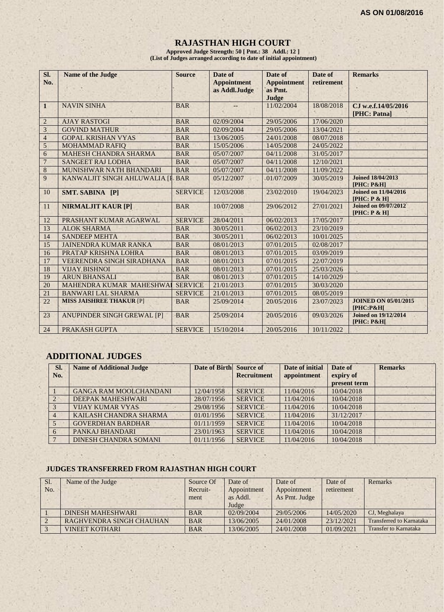## **RAJASTHAN HIGH COURT**

**Approved Judge Strength: 50 [ Pmt.: 38 Addl.: 12 ] (List of Judges arranged according to date of initial appointment)**

| Sl.<br>No.              | <b>Name of the Judge</b>          | <b>Source</b>  | Date of<br><b>Appointment</b><br>as Addl.Judge | Date of<br><b>Appointment</b><br>as Pmt.<br>Judge | Date of<br>retirement | <b>Remarks</b>                                    |
|-------------------------|-----------------------------------|----------------|------------------------------------------------|---------------------------------------------------|-----------------------|---------------------------------------------------|
| $\mathbf{1}$            | <b>NAVIN SINHA</b>                | <b>BAR</b>     |                                                | 11/02/2004                                        | 18/08/2018            | CJ w.e.f.14/05/2016<br>[PHC: Patna]               |
| $\overline{2}$          | <b>AJAY RASTOGI</b>               | <b>BAR</b>     | 02/09/2004                                     | 29/05/2006                                        | 17/06/2020            |                                                   |
| $\overline{\mathbf{3}}$ | <b>GOVIND MATHUR</b>              | <b>BAR</b>     | 02/09/2004                                     | 29/05/2006                                        | 13/04/2021            |                                                   |
| $\overline{4}$          | <b>GOPAL KRISHAN VYAS</b>         | <b>BAR</b>     | 13/06/2005                                     | 24/01/2008                                        | 08/07/2018            |                                                   |
| 5                       | <b>MOHAMMAD RAFIO</b>             | <b>BAR</b>     | 15/05/2006                                     | 14/05/2008                                        | 24/05/2022            |                                                   |
| 6                       | <b>MAHESH CHANDRA SHARMA</b>      | <b>BAR</b>     | 05/07/2007                                     | 04/11/2008                                        | 31/05/2017            |                                                   |
| $\overline{7}$          | <b>SANGEET RAJ LODHA</b>          | <b>BAR</b>     | 05/07/2007                                     | 04/11/2008                                        | 12/10/2021            |                                                   |
| $\overline{8}$          | MUNISHWAR NATH BHANDARI           | <b>BAR</b>     | 05/07/2007                                     | 04/11/2008                                        | 11/09/2022            |                                                   |
| 9                       | KANWALJIT SINGH AHLUWALIA [I      | <b>BAR</b>     | 05/12/2007                                     | 01/07/2009                                        | 30/05/2019            | <b>Joined 18/04/2013</b><br><b>[PHC: P&amp;H]</b> |
| 10                      | SMT. SABINA [P]                   | <b>SERVICE</b> | 12/03/2008                                     | 23/02/2010                                        | 19/04/2023            | <b>Joined on 11/04/2016</b><br>[PHC: P & H]       |
| 11                      | <b>NIRMALJIT KAUR [P]</b>         | <b>BAR</b>     | 10/07/2008                                     | 29/06/2012                                        | 27/01/2021            | <b>Joined on 09/07/2012</b><br>[PHC: P & H]       |
| 12                      | PRASHANT KUMAR AGARWAL            | <b>SERVICE</b> | 28/04/2011                                     | 06/02/2013                                        | 17/05/2017            |                                                   |
| 13                      | <b>ALOK SHARMA</b>                | <b>BAR</b>     | 30/05/2011                                     | 06/02/2013                                        | 23/10/2019            |                                                   |
| 14                      | <b>SANDEEP MEHTA</b>              | <b>BAR</b>     | 30/05/2011                                     | 06/02/2013                                        | 10/01/2025            |                                                   |
| 15                      | <b>JAINENDRA KUMAR RANKA</b>      | <b>BAR</b>     | 08/01/2013                                     | 07/01/2015                                        | 02/08/2017            |                                                   |
| 16                      | PRATAP KRISHNA LOHRA              | <b>BAR</b>     | 08/01/2013                                     | 07/01/2015                                        | 03/09/2019            |                                                   |
| 17                      | <b>VEERENDRA SINGH SIRADHANA</b>  | <b>BAR</b>     | 08/01/2013                                     | 07/01/2015                                        | 22/07/2019            |                                                   |
| 18                      | <b>VIJAY BISHNOI</b>              | <b>BAR</b>     | 08/01/2013                                     | 07/01/2015                                        | 25/03/2026            |                                                   |
| 19                      | <b>ARUN BHANSALI</b>              | <b>BAR</b>     | 08/01/2013                                     | 07/01/2015                                        | 14/10/2029            |                                                   |
| 20                      | MAHENDRA KUMAR MAHESHWAI          | <b>SERVICE</b> | 21/01/2013                                     | 07/01/2015                                        | 30/03/2020            |                                                   |
| 21                      | <b>BANWARI LAL SHARMA</b>         | <b>SERVICE</b> | 21/01/2013                                     | 07/01/2015                                        | 08/05/2019            |                                                   |
| 22                      | <b>MISS JAISHREE THAKUR [P]</b>   | <b>BAR</b>     | 25/09/2014                                     | 20/05/2016                                        | 23/07/2023            | <b>JOINED ON 05/01/2015</b><br>[PHC:P&H]          |
| 23                      | <b>ANUPINDER SINGH GREWAL [P]</b> | <b>BAR</b>     | 25/09/2014                                     | 20/05/2016                                        | 09/03/2026            | <b>Joined on 19/12/2014</b><br>$[PHC: P\&H]$      |
| 24                      | PRAKASH GUPTA                     | <b>SERVICE</b> | 15/10/2014                                     | 20/05/2016                                        | 10/11/2022            |                                                   |

## **ADDITIONAL JUDGES**

 $1.7.7$ 

|                | SI.<br>No. | <b>Name of Additional Judge</b> | Date of Birth Source of | <b>Recruitment</b> | Date of initial<br>appointment | Date of<br>expiry of<br>present term | <b>Remarks</b> |
|----------------|------------|---------------------------------|-------------------------|--------------------|--------------------------------|--------------------------------------|----------------|
|                |            | <b>GANGA RAM MOOLCHANDANI</b>   | 12/04/1958              | <b>SERVICE</b>     | 11/04/2016                     | 10/04/2018                           |                |
|                |            | DEEPAK MAHESHWARI               | 28/07/1956              | <b>SERVICE</b>     | 11/04/2016                     | 10/04/2018                           |                |
|                |            | <b>VIJAY KUMAR VYAS</b>         | 29/08/1956              | <b>SERVICE</b>     | 11/04/2016                     | 10/04/2018                           |                |
| $\overline{4}$ |            | KAILASH CHANDRA SHARMA          | 01/01/1956              | <b>SERVICE</b>     | 11/04/2016                     | 31/12/2017                           |                |
|                |            | <b>GOVERDHAN BARDHAR</b>        | 01/11/1959              | <b>SERVICE</b>     | 11/04/2016                     | 10/04/2018                           |                |
| 6              |            | PANKAJ BHANDARI                 | 23/01/1963              | <b>SERVICE</b>     | 11/04/2016                     | 10/04/2018                           |                |
|                |            | DINESH CHANDRA SOMANI           | 01/11/1956              | <b>SERVICE</b>     | 11/04/2016                     | 10/04/2018                           |                |

## **JUDGES TRANSFERRED FROM RAJASTHAN HIGH COURT**

| Sl. | Name of the Judge        | Source Of  | Date of     | Date of       | Date of    | Remarks                         |
|-----|--------------------------|------------|-------------|---------------|------------|---------------------------------|
| No. |                          | Recruit-   | Appointment | Appointment   | retirement |                                 |
|     |                          | ment       | as Addl.    | As Pmt. Judge |            |                                 |
|     |                          |            | Judge       |               |            |                                 |
|     | <b>DINESH MAHESHWARI</b> | <b>BAR</b> | 02/09/2004  | 29/05/2006    | 14/05/2020 | CJ, Meghalaya                   |
|     | RAGHVENDRA SINGH CHAUHAN | <b>BAR</b> | 13/06/2005  | 24/01/2008    | 23/12/2021 | <b>Transferred to Karnataka</b> |
|     | <b>VINEET KOTHARI</b>    | <b>BAR</b> | 13/06/2005  | 24/01/2008    | 01/09/2021 | <b>Transfer to Karnataka</b>    |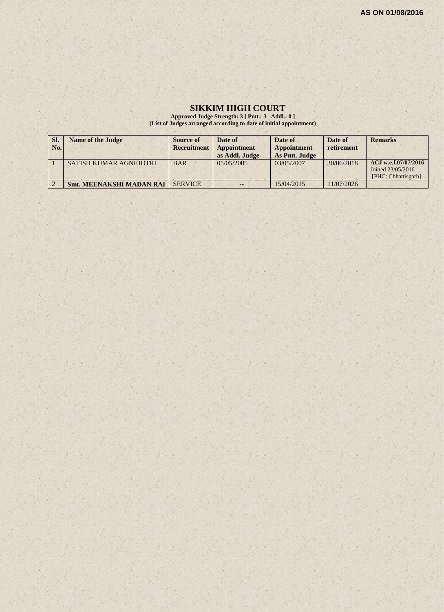## **SIKKIM HIGH COURT**

**Approved Judge Strength: 3 [ Pmt.: 3 Addl.: 0 ] (List of Judges arranged according to date of initial appointment)**

| SI.<br>No. | <b>Name of the Judge</b>        | <b>Source of</b><br><b>Recruitment</b> | Date of<br><b>Appointment</b><br>as Addl. Judge | Date of<br><b>Appointment</b><br>As Pmt. Judge | Date of<br>retirement | <b>Remarks</b>                                                   |
|------------|---------------------------------|----------------------------------------|-------------------------------------------------|------------------------------------------------|-----------------------|------------------------------------------------------------------|
|            | SATISH KUMAR AGNIHOTRI          | <b>BAR</b>                             | 05/05/2005                                      | 03/05/2007                                     | 30/06/2018            | ACJ w.e.f.07/07/2016<br>Joined 23/05/2016<br>[PHC: Chhattisgarh] |
|            | <b>Smt. MEENAKSHI MADAN RAI</b> | <b>SERVICE</b>                         |                                                 | 15/04/2015                                     | 11/07/2026            |                                                                  |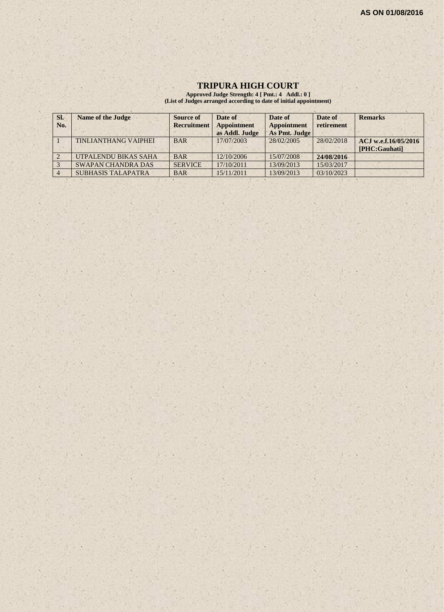## **TRIPURA HIGH COURT**

**Approved Judge Strength: 4 [ Pmt.: 4 Addl.: 0 ] (List of Judges arranged according to date of initial appointment)**

| SI.<br>No. | <b>Name of the Judge</b>    | Source of<br><b>Recruitment</b> | Date of<br>Appointment | Date of<br><b>Appointment</b> | Date of<br>retirement | <b>Remarks</b>       |
|------------|-----------------------------|---------------------------------|------------------------|-------------------------------|-----------------------|----------------------|
|            |                             |                                 | as Addl. Judge         | As Pmt. Judge                 |                       |                      |
|            | <b>TINLIANTHANG VAIPHEI</b> | <b>BAR</b>                      | 17/07/2003             | 28/02/2005                    | 28/02/2018            | ACJ w.e.f.16/05/2016 |
|            |                             |                                 |                        |                               |                       | [PHC:Gauhati]        |
|            | UTPALENDU BIKAS SAHA        | <b>BAR</b>                      | 12/10/2006             | 15/07/2008                    | 24/08/2016            |                      |
|            | <b>SWAPAN CHANDRA DAS</b>   | <b>SERVICE</b>                  | 17/10/2011             | 13/09/2013                    | 15/03/2017            |                      |
|            | <b>SUBHASIS TALAPATRA</b>   | <b>BAR</b>                      | 15/11/2011             | 13/09/2013                    | 03/10/2023            |                      |